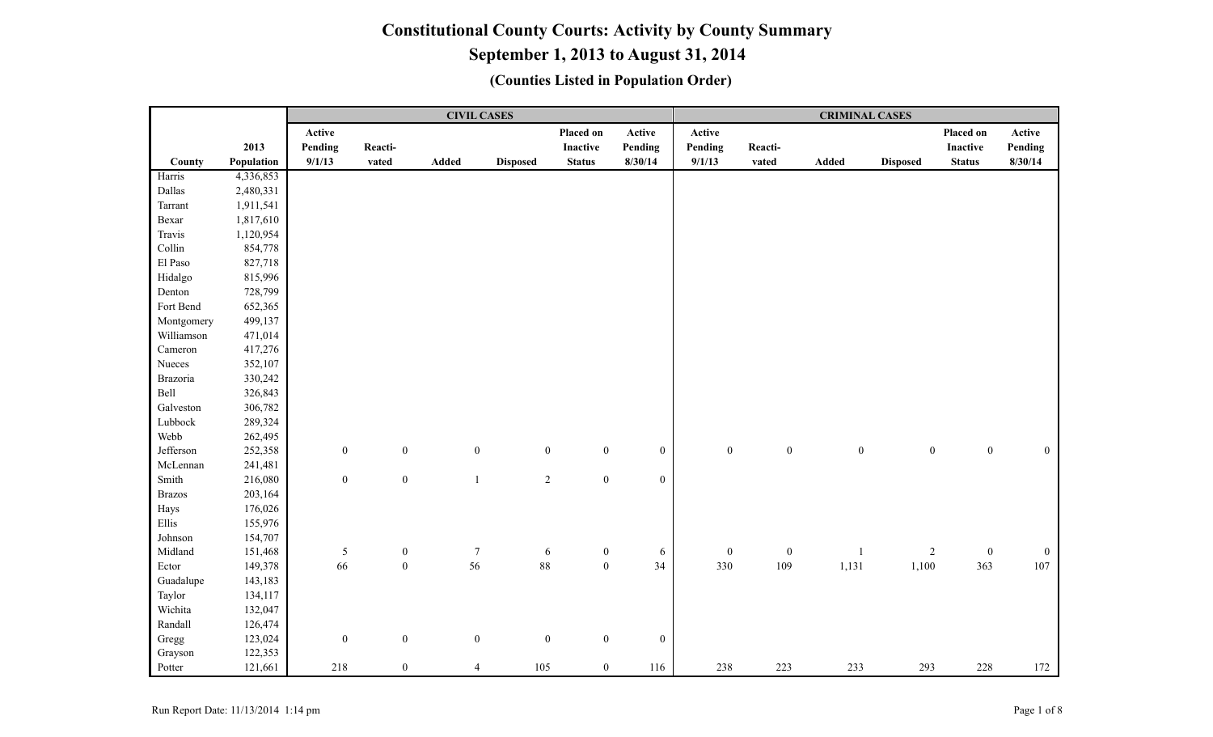# **September 1, 2013 to August 31, 2014**

|               |            |                  |                  |                  | <b>CIVIL CASES</b> |                                      |                  |                  |                  | <b>CRIMINAL CASES</b> |                  |                  |                  |
|---------------|------------|------------------|------------------|------------------|--------------------|--------------------------------------|------------------|------------------|------------------|-----------------------|------------------|------------------|------------------|
|               |            | Active           |                  |                  |                    | Placed on                            | Active           | Active           |                  |                       |                  | Placed on        | Active           |
|               | 2013       | Pending          | Reacti-          |                  |                    | Inactive                             | Pending          | Pending          | Reacti-          |                       |                  | <b>Inactive</b>  | Pending          |
| County        | Population | 9/1/13           | vated            | Added            | <b>Disposed</b>    | <b>Status</b>                        | 8/30/14          | 9/1/13           | vated            | Added                 | <b>Disposed</b>  | <b>Status</b>    | 8/30/14          |
| Harris        | 4,336,853  |                  |                  |                  |                    |                                      |                  |                  |                  |                       |                  |                  |                  |
| Dallas        | 2,480,331  |                  |                  |                  |                    |                                      |                  |                  |                  |                       |                  |                  |                  |
| Tarrant       | 1,911,541  |                  |                  |                  |                    |                                      |                  |                  |                  |                       |                  |                  |                  |
| Bexar         | 1,817,610  |                  |                  |                  |                    |                                      |                  |                  |                  |                       |                  |                  |                  |
| Travis        | 1,120,954  |                  |                  |                  |                    |                                      |                  |                  |                  |                       |                  |                  |                  |
| Collin        | 854,778    |                  |                  |                  |                    |                                      |                  |                  |                  |                       |                  |                  |                  |
| El Paso       | 827,718    |                  |                  |                  |                    |                                      |                  |                  |                  |                       |                  |                  |                  |
| Hidalgo       | 815,996    |                  |                  |                  |                    |                                      |                  |                  |                  |                       |                  |                  |                  |
| Denton        | 728,799    |                  |                  |                  |                    |                                      |                  |                  |                  |                       |                  |                  |                  |
| Fort Bend     | 652,365    |                  |                  |                  |                    |                                      |                  |                  |                  |                       |                  |                  |                  |
| Montgomery    | 499,137    |                  |                  |                  |                    |                                      |                  |                  |                  |                       |                  |                  |                  |
| Williamson    | 471,014    |                  |                  |                  |                    |                                      |                  |                  |                  |                       |                  |                  |                  |
| Cameron       | 417,276    |                  |                  |                  |                    |                                      |                  |                  |                  |                       |                  |                  |                  |
| Nueces        | 352,107    |                  |                  |                  |                    |                                      |                  |                  |                  |                       |                  |                  |                  |
| Brazoria      | 330,242    |                  |                  |                  |                    |                                      |                  |                  |                  |                       |                  |                  |                  |
| Bell          | 326,843    |                  |                  |                  |                    |                                      |                  |                  |                  |                       |                  |                  |                  |
| Galveston     | 306,782    |                  |                  |                  |                    |                                      |                  |                  |                  |                       |                  |                  |                  |
| Lubbock       | 289,324    |                  |                  |                  |                    |                                      |                  |                  |                  |                       |                  |                  |                  |
| Webb          | 262,495    |                  |                  |                  |                    |                                      |                  |                  |                  |                       |                  |                  |                  |
| Jefferson     | 252,358    | $\boldsymbol{0}$ | $\boldsymbol{0}$ | $\boldsymbol{0}$ |                    | $\mathbf{0}$<br>$\boldsymbol{0}$     | $\boldsymbol{0}$ | $\boldsymbol{0}$ | $\boldsymbol{0}$ | $\boldsymbol{0}$      | $\boldsymbol{0}$ | $\boldsymbol{0}$ | $\boldsymbol{0}$ |
| McLennan      | 241,481    |                  |                  |                  |                    |                                      |                  |                  |                  |                       |                  |                  |                  |
| Smith         | 216,080    | $\boldsymbol{0}$ | $\boldsymbol{0}$ | $\mathbf{1}$     |                    | $\overline{2}$<br>$\boldsymbol{0}$   | $\mathbf{0}$     |                  |                  |                       |                  |                  |                  |
| <b>Brazos</b> | 203,164    |                  |                  |                  |                    |                                      |                  |                  |                  |                       |                  |                  |                  |
| Hays          | 176,026    |                  |                  |                  |                    |                                      |                  |                  |                  |                       |                  |                  |                  |
| Ellis         | 155,976    |                  |                  |                  |                    |                                      |                  |                  |                  |                       |                  |                  |                  |
| Johnson       | 154,707    |                  |                  |                  |                    |                                      |                  |                  |                  |                       |                  |                  |                  |
| Midland       | 151,468    | $\sqrt{5}$       | $\boldsymbol{0}$ | $\boldsymbol{7}$ |                    | $\boldsymbol{0}$<br>6                | $\sqrt{6}$       | $\boldsymbol{0}$ | $\boldsymbol{0}$ | $\mathbf{1}$          | $\overline{c}$   | $\boldsymbol{0}$ | $\mathbf{0}$     |
| Ector         | 149,378    | 66               | $\boldsymbol{0}$ | 56               |                    | 88<br>$\boldsymbol{0}$               | 34               | 330              | 109              | 1,131                 | 1,100            | 363              | 107              |
| Guadalupe     | 143,183    |                  |                  |                  |                    |                                      |                  |                  |                  |                       |                  |                  |                  |
| Taylor        | 134,117    |                  |                  |                  |                    |                                      |                  |                  |                  |                       |                  |                  |                  |
| Wichita       | 132,047    |                  |                  |                  |                    |                                      |                  |                  |                  |                       |                  |                  |                  |
| Randall       | 126,474    |                  |                  |                  |                    |                                      |                  |                  |                  |                       |                  |                  |                  |
| Gregg         | 123,024    | $\boldsymbol{0}$ | $\boldsymbol{0}$ | $\boldsymbol{0}$ |                    | $\boldsymbol{0}$<br>$\boldsymbol{0}$ | $\boldsymbol{0}$ |                  |                  |                       |                  |                  |                  |
| Grayson       | 122,353    |                  |                  |                  |                    |                                      |                  |                  |                  |                       |                  |                  |                  |
| Potter        | 121,661    | 218              | $\boldsymbol{0}$ | $\overline{4}$   | 105                | $\boldsymbol{0}$                     | 116              | 238              | 223              | 233                   | 293              | 228              | 172              |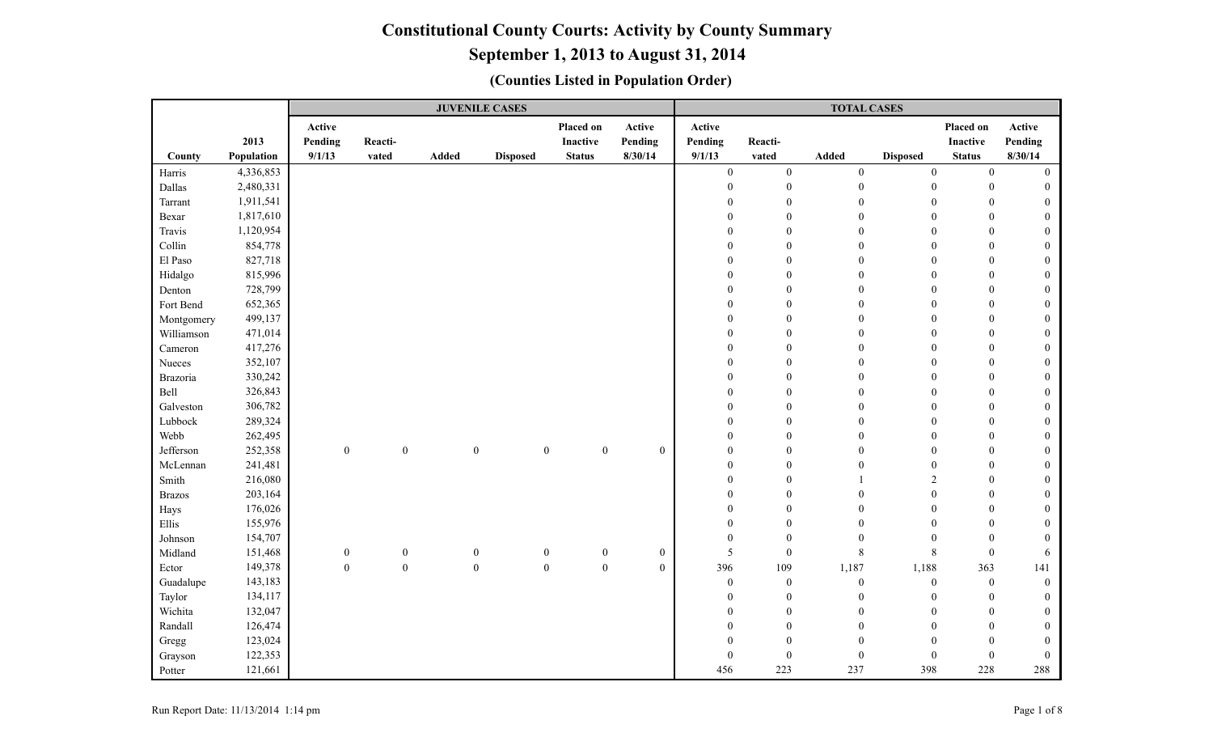|               |            |                  |                  |              | <b>JUVENILE CASES</b> |                                      |                  |                  |                  | <b>TOTAL CASES</b> |                  |                  |                  |
|---------------|------------|------------------|------------------|--------------|-----------------------|--------------------------------------|------------------|------------------|------------------|--------------------|------------------|------------------|------------------|
|               |            | Active           |                  |              |                       | Placed on                            | Active           | Active           |                  |                    |                  | Placed on        | Active           |
|               | 2013       | Pending          | Reacti-          |              |                       | Inactive                             | Pending          | Pending          | Reacti-          |                    |                  | Inactive         | Pending          |
| County        | Population | 9/1/13           | vated            | <b>Added</b> | <b>Disposed</b>       | <b>Status</b>                        | 8/30/14          | 9/1/13           | vated            | <b>Added</b>       | <b>Disposed</b>  | <b>Status</b>    | 8/30/14          |
| Harris        | 4,336,853  |                  |                  |              |                       |                                      |                  | $\boldsymbol{0}$ | $\boldsymbol{0}$ | $\boldsymbol{0}$   | $\boldsymbol{0}$ | $\overline{0}$   | $\mathbf{0}$     |
| Dallas        | 2,480,331  |                  |                  |              |                       |                                      |                  | $\mathbf{0}$     | $\boldsymbol{0}$ | $\boldsymbol{0}$   | $\mathbf{0}$     | $\mathbf{0}$     |                  |
| Tarrant       | 1,911,541  |                  |                  |              |                       |                                      |                  | $\theta$         | $\theta$         | $\theta$           | $\mathbf{0}$     | $\theta$         |                  |
| Bexar         | 1,817,610  |                  |                  |              |                       |                                      |                  | $\Omega$         | $\Omega$         | $\theta$           | $\theta$         | $\theta$         | $\Omega$         |
| Travis        | 1,120,954  |                  |                  |              |                       |                                      |                  | $\mathbf{0}$     | $\mathbf{0}$     | $\mathbf{0}$       | $\mathbf{0}$     | $\mathbf{0}$     | $\Omega$         |
| Collin        | 854,778    |                  |                  |              |                       |                                      |                  | $\mathbf{0}$     | $\mathbf{0}$     | $\theta$           | $\mathbf{0}$     | $\theta$         |                  |
| El Paso       | 827,718    |                  |                  |              |                       |                                      |                  | $\mathbf{0}$     | $\mathbf{0}$     | $\mathbf{0}$       | $\mathbf{0}$     | $\theta$         | 0                |
| Hidalgo       | 815,996    |                  |                  |              |                       |                                      |                  | $\theta$         | $\Omega$         | $\theta$           | $\theta$         | $\theta$         | $\theta$         |
| Denton        | 728,799    |                  |                  |              |                       |                                      |                  | $\mathbf{0}$     | $\theta$         | $\mathbf{0}$       | $\mathbf{0}$     | $\theta$         | 0                |
| Fort Bend     | 652,365    |                  |                  |              |                       |                                      |                  | $\theta$         | $\mathbf{0}$     | $\theta$           | $\Omega$         | $\mathbf{0}$     |                  |
| Montgomery    | 499,137    |                  |                  |              |                       |                                      |                  | $\mathbf{0}$     | $\theta$         | $\theta$           | $\Omega$         | $\theta$         |                  |
| Williamson    | 471,014    |                  |                  |              |                       |                                      |                  | $\theta$         | $\theta$         | $\theta$           | $\Omega$         | $\theta$         | 0                |
| Cameron       | 417,276    |                  |                  |              |                       |                                      |                  | $\mathbf{0}$     | $\mathbf{0}$     | $\mathbf{0}$       | $\Omega$         | $\overline{0}$   | $\Omega$         |
| Nueces        | 352,107    |                  |                  |              |                       |                                      |                  | $\mathbf{0}$     | $\mathbf{0}$     | $\mathbf{0}$       | $\mathbf{0}$     | $\theta$         | $\bf{0}$         |
| Brazoria      | 330,242    |                  |                  |              |                       |                                      |                  | $\mathbf{0}$     | $\mathbf{0}$     | $\mathbf{0}$       | $\mathbf{0}$     | $\theta$         | 0                |
| Bell          | 326,843    |                  |                  |              |                       |                                      |                  | $\theta$         | $\mathbf{0}$     | $\theta$           | $\mathbf{0}$     | $\theta$         | $\theta$         |
| Galveston     | 306,782    |                  |                  |              |                       |                                      |                  | $\theta$         | $\theta$         | $\theta$           | $\boldsymbol{0}$ | $\theta$         | $\theta$         |
| Lubbock       | 289,324    |                  |                  |              |                       |                                      |                  | $\mathbf{0}$     | $\mathbf{0}$     | $\mathbf{0}$       | $\mathbf{0}$     | $\boldsymbol{0}$ | $\theta$         |
| Webb          | 262,495    |                  |                  |              |                       |                                      |                  | $\theta$         | $\mathbf{0}$     | $\theta$           | $\mathbf{0}$     | $\theta$         |                  |
| Jefferson     | 252,358    | $\boldsymbol{0}$ | $\boldsymbol{0}$ |              | $\boldsymbol{0}$      | $\boldsymbol{0}$<br>$\boldsymbol{0}$ | $\boldsymbol{0}$ | $\mathbf{0}$     | $\mathbf{0}$     | $\theta$           | $\theta$         | $\theta$         |                  |
| McLennan      | 241,481    |                  |                  |              |                       |                                      |                  | $\Omega$         | $\theta$         | $\theta$           | $\theta$         | $\Omega$         | 0                |
| Smith         | 216,080    |                  |                  |              |                       |                                      |                  | $\mathbf{0}$     | $\mathbf{0}$     |                    | $\overline{2}$   | $\theta$         | 0                |
| <b>Brazos</b> | 203,164    |                  |                  |              |                       |                                      |                  | $\theta$         | $\mathbf{0}$     | $\mathbf{0}$       | $\mathbf{0}$     | $\theta$         |                  |
| Hays          | 176,026    |                  |                  |              |                       |                                      |                  | $\theta$         | $\mathbf{0}$     | $\mathbf{0}$       | $\mathbf{0}$     | $\theta$         |                  |
| Ellis         | 155,976    |                  |                  |              |                       |                                      |                  | $\theta$         | $\mathbf{0}$     | $\mathbf{0}$       | $\mathbf{0}$     | $\theta$         | 0                |
| Johnson       | 154,707    |                  |                  |              |                       |                                      |                  | $\boldsymbol{0}$ | $\mathbf{0}$     | $\mathbf{0}$       | $\mathbf{0}$     | $\mathbf{0}$     | $\theta$         |
| Midland       | 151,468    | $\boldsymbol{0}$ | $\boldsymbol{0}$ |              | $\boldsymbol{0}$      | $\boldsymbol{0}$<br>$\boldsymbol{0}$ | $\boldsymbol{0}$ | 5                | $\boldsymbol{0}$ | $\,$ 8 $\,$        | 8                | $\mathbf{0}$     | 6                |
| Ector         | 149,378    | $\boldsymbol{0}$ | $\boldsymbol{0}$ |              | $\boldsymbol{0}$      | $\boldsymbol{0}$<br>$\boldsymbol{0}$ | $\boldsymbol{0}$ | 396              | 109              | 1,187              | 1,188            | 363              | 141              |
| Guadalupe     | 143,183    |                  |                  |              |                       |                                      |                  | $\mathbf{0}$     | $\boldsymbol{0}$ | $\mathbf{0}$       | $\overline{0}$   | $\mathbf{0}$     | $\theta$         |
| Taylor        | 134,117    |                  |                  |              |                       |                                      |                  | $\mathbf{0}$     | $\overline{0}$   | $\mathbf{0}$       | $\mathbf{0}$     | $\mathbf{0}$     | $\Omega$         |
| Wichita       | 132,047    |                  |                  |              |                       |                                      |                  | $\mathbf{0}$     | $\boldsymbol{0}$ | $\mathbf{0}$       | $\mathbf{0}$     | $\mathbf{0}$     | $\bf{0}$         |
| Randall       | 126,474    |                  |                  |              |                       |                                      |                  | $\mathbf{0}$     | $\mathbf{0}$     | $\mathbf{0}$       | $\theta$         | $\mathbf{0}$     | 0                |
| Gregg         | 123,024    |                  |                  |              |                       |                                      |                  | $\theta$         | $\Omega$         | $\mathbf{0}$       | $\Omega$         | $\theta$         |                  |
| Grayson       | 122,353    |                  |                  |              |                       |                                      |                  | $\overline{0}$   | $\Omega$         | $\boldsymbol{0}$   | $\mathbf{0}$     | $\overline{0}$   | $\boldsymbol{0}$ |
| Potter        | 121,661    |                  |                  |              |                       |                                      |                  | 456              | 223              | 237                | 398              | 228              | 288              |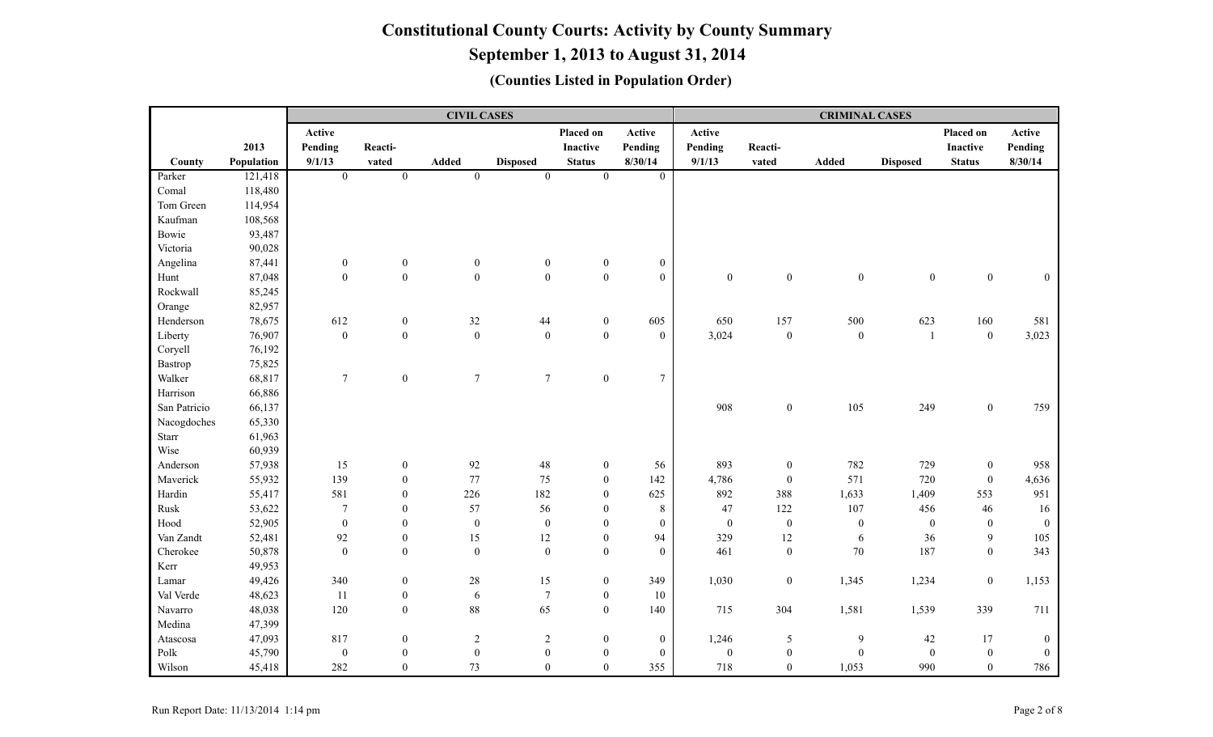|              |            |                  |                  | <b>CIVIL CASES</b> |                  |                  |                  |                  |                  | <b>CRIMINAL CASES</b> |                  |                  |              |
|--------------|------------|------------------|------------------|--------------------|------------------|------------------|------------------|------------------|------------------|-----------------------|------------------|------------------|--------------|
|              |            | Active           |                  |                    |                  | Placed on        | Active           | Active           |                  |                       |                  | Placed on        | Active       |
|              | 2013       | Pending          | Reacti-          |                    |                  | Inactive         | Pending          | Pending          | Reacti-          |                       |                  | <b>Inactive</b>  | Pending      |
| County       | Population | 9/1/13           | vated            | Added              | <b>Disposed</b>  | <b>Status</b>    | 8/30/14          | 9/1/13           | vated            | Added                 | <b>Disposed</b>  | <b>Status</b>    | 8/30/14      |
| Parker       | 121,418    | $\overline{0}$   | $\overline{0}$   | $\mathbf{0}$       | $\theta$         | $\overline{0}$   | $\overline{0}$   |                  |                  |                       |                  |                  |              |
| Comal        | 118,480    |                  |                  |                    |                  |                  |                  |                  |                  |                       |                  |                  |              |
| Tom Green    | 114,954    |                  |                  |                    |                  |                  |                  |                  |                  |                       |                  |                  |              |
| Kaufman      | 108,568    |                  |                  |                    |                  |                  |                  |                  |                  |                       |                  |                  |              |
| Bowie        | 93,487     |                  |                  |                    |                  |                  |                  |                  |                  |                       |                  |                  |              |
| Victoria     | 90,028     |                  |                  |                    |                  |                  |                  |                  |                  |                       |                  |                  |              |
| Angelina     | 87,441     | $\boldsymbol{0}$ | $\boldsymbol{0}$ | $\boldsymbol{0}$   | $\boldsymbol{0}$ | $\boldsymbol{0}$ | $\boldsymbol{0}$ |                  |                  |                       |                  |                  |              |
| Hunt         | 87,048     | $\boldsymbol{0}$ | $\mathbf 0$      | $\mathbf{0}$       | $\mathbf{0}$     | $\mathbf 0$      | $\boldsymbol{0}$ | $\boldsymbol{0}$ | $\boldsymbol{0}$ | $\boldsymbol{0}$      | $\boldsymbol{0}$ | $\overline{0}$   | $\mathbf{0}$ |
| Rockwall     | 85,245     |                  |                  |                    |                  |                  |                  |                  |                  |                       |                  |                  |              |
| Orange       | 82,957     |                  |                  |                    |                  |                  |                  |                  |                  |                       |                  |                  |              |
| Henderson    | 78,675     | 612              | $\boldsymbol{0}$ | $32\,$             | 44               | $\boldsymbol{0}$ | 605              | 650              | 157              | 500                   | 623              | 160              | 581          |
| Liberty      | 76,907     | $\boldsymbol{0}$ | $\boldsymbol{0}$ | $\boldsymbol{0}$   | $\boldsymbol{0}$ | $\boldsymbol{0}$ | $\boldsymbol{0}$ | 3,024            | $\boldsymbol{0}$ | $\boldsymbol{0}$      | $\mathbf{1}$     | $\boldsymbol{0}$ | 3,023        |
| Coryell      | 76,192     |                  |                  |                    |                  |                  |                  |                  |                  |                       |                  |                  |              |
| Bastrop      | 75,825     |                  |                  |                    |                  |                  |                  |                  |                  |                       |                  |                  |              |
| Walker       | 68,817     | $\overline{7}$   | $\boldsymbol{0}$ | $\tau$             | $7\overline{ }$  | $\boldsymbol{0}$ | $\overline{7}$   |                  |                  |                       |                  |                  |              |
| Harrison     | 66,886     |                  |                  |                    |                  |                  |                  |                  |                  |                       |                  |                  |              |
| San Patricio | 66,137     |                  |                  |                    |                  |                  |                  | 908              | $\boldsymbol{0}$ | 105                   | 249              | $\mathbf{0}$     | 759          |
| Nacogdoches  | 65,330     |                  |                  |                    |                  |                  |                  |                  |                  |                       |                  |                  |              |
| Starr        | 61,963     |                  |                  |                    |                  |                  |                  |                  |                  |                       |                  |                  |              |
| Wise         | 60,939     |                  |                  |                    |                  |                  |                  |                  |                  |                       |                  |                  |              |
| Anderson     | 57,938     | 15               | $\boldsymbol{0}$ | 92                 | 48               | $\boldsymbol{0}$ | 56               | 893              | $\boldsymbol{0}$ | 782                   | 729              | $\boldsymbol{0}$ | 958          |
| Maverick     | 55,932     | 139              | $\boldsymbol{0}$ | 77                 | 75               | $\boldsymbol{0}$ | 142              | 4,786            | $\boldsymbol{0}$ | 571                   | 720              | $\boldsymbol{0}$ | 4,636        |
| Hardin       | 55,417     | 581              | $\boldsymbol{0}$ | 226                | 182              | $\boldsymbol{0}$ | 625              | 892              | 388              | 1,633                 | 1,409            | 553              | 951          |
| Rusk         | 53,622     | $\boldsymbol{7}$ | $\boldsymbol{0}$ | 57                 | 56               | $\boldsymbol{0}$ | $\,8\,$          | 47               | 122              | 107                   | 456              | 46               | 16           |
| Hood         | 52,905     | $\boldsymbol{0}$ | $\boldsymbol{0}$ | $\boldsymbol{0}$   | $\boldsymbol{0}$ | $\boldsymbol{0}$ | $\boldsymbol{0}$ | $\boldsymbol{0}$ | $\boldsymbol{0}$ | $\boldsymbol{0}$      | $\boldsymbol{0}$ | $\theta$         | $\theta$     |
| Van Zandt    | 52,481     | 92               | $\boldsymbol{0}$ | 15                 | $12\,$           | $\mathbf{0}$     | 94               | 329              | $12\,$           | 6                     | 36               | 9                | 105          |
| Cherokee     | 50,878     | $\mathbf{0}$     | $\boldsymbol{0}$ | $\boldsymbol{0}$   | $\theta$         | $\mathbf{0}$     | $\boldsymbol{0}$ | 461              | $\boldsymbol{0}$ | $70\,$                | 187              | $\theta$         | 343          |
| Kerr         | 49,953     |                  |                  |                    |                  |                  |                  |                  |                  |                       |                  |                  |              |
| Lamar        | 49,426     | 340              | $\boldsymbol{0}$ | $28\,$             | 15               | $\boldsymbol{0}$ | 349              | 1,030            | $\boldsymbol{0}$ | 1,345                 | 1,234            | $\boldsymbol{0}$ | 1,153        |
| Val Verde    | 48,623     | $11\,$           | $\boldsymbol{0}$ | $\sqrt{6}$         | $\overline{7}$   | $\boldsymbol{0}$ | $10\,$           |                  |                  |                       |                  |                  |              |
| Navarro      | 48,038     | 120              | $\boldsymbol{0}$ | 88                 | 65               | $\mathbf{0}$     | 140              | 715              | 304              | 1,581                 | 1,539            | 339              | 711          |
| Medina       | 47,399     |                  |                  |                    |                  |                  |                  |                  |                  |                       |                  |                  |              |
| Atascosa     | 47,093     | 817              | $\boldsymbol{0}$ | $\boldsymbol{2}$   | $\sqrt{2}$       | $\boldsymbol{0}$ | $\boldsymbol{0}$ | 1,246            | $\sqrt{5}$       | $\overline{9}$        | 42               | 17               | $\bf{0}$     |
| Polk         | 45,790     | $\boldsymbol{0}$ | $\boldsymbol{0}$ | $\boldsymbol{0}$   | $\boldsymbol{0}$ | $\boldsymbol{0}$ | $\boldsymbol{0}$ | $\boldsymbol{0}$ | $\boldsymbol{0}$ | $\mathbf{0}$          | $\boldsymbol{0}$ | $\boldsymbol{0}$ | $\theta$     |
| Wilson       | 45,418     | 282              | $\mathbf{0}$     | 73                 | $\theta$         | $\theta$         | 355              | 718              | $\mathbf{0}$     | 1,053                 | 990              | $\Omega$         | 786          |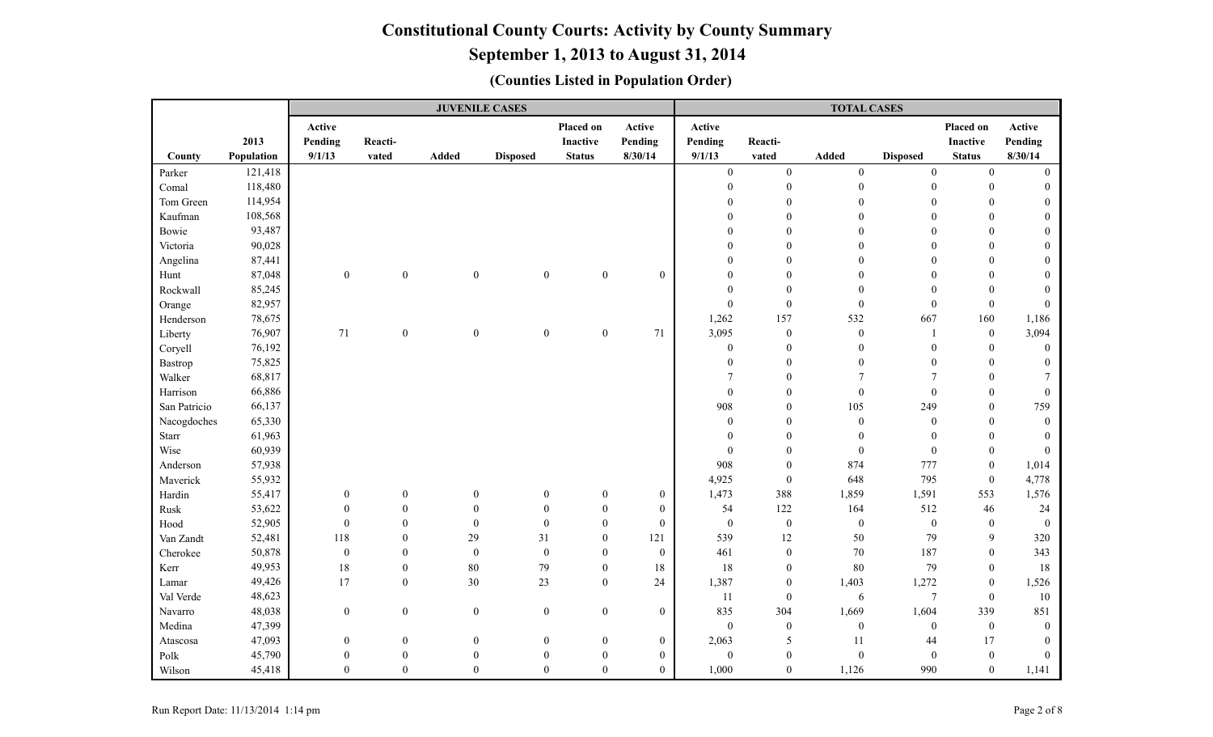|              |            |                  |                  | <b>JUVENILE CASES</b> |                  |                  |                  |                  |                  | <b>TOTAL CASES</b> |                  |                  |              |
|--------------|------------|------------------|------------------|-----------------------|------------------|------------------|------------------|------------------|------------------|--------------------|------------------|------------------|--------------|
|              |            | Active           |                  |                       |                  | Placed on        | Active           | Active           |                  |                    |                  | Placed on        | Active       |
|              | 2013       | Pending          | Reacti-          |                       |                  | Inactive         | Pending          | Pending          | Reacti-          |                    |                  | <b>Inactive</b>  | Pending      |
| County       | Population | 9/1/13           | vated            | <b>Added</b>          | <b>Disposed</b>  | <b>Status</b>    | 8/30/14          | 9/1/13           | vated            | Added              | <b>Disposed</b>  | <b>Status</b>    | 8/30/14      |
| Parker       | 121,418    |                  |                  |                       |                  |                  |                  | $\theta$         | $\mathbf{0}$     | $\mathbf{0}$       | $\mathbf{0}$     | $\theta$         | $\Omega$     |
| Comal        | 118,480    |                  |                  |                       |                  |                  |                  | $\mathbf{0}$     | $\boldsymbol{0}$ | $\boldsymbol{0}$   | $\boldsymbol{0}$ | $\mathbf{0}$     |              |
| Tom Green    | 114,954    |                  |                  |                       |                  |                  |                  | $\Omega$         | $\theta$         | $\theta$           | $\theta$         | $\theta$         | $\Omega$     |
| Kaufman      | 108,568    |                  |                  |                       |                  |                  |                  | $\theta$         | $\theta$         | $\theta$           | $\mathbf{0}$     | $\theta$         | $\Omega$     |
| Bowie        | 93,487     |                  |                  |                       |                  |                  |                  | $\Omega$         | $\mathbf{0}$     | $\Omega$           | $\theta$         | $\theta$         |              |
| Victoria     | 90,028     |                  |                  |                       |                  |                  |                  | $\theta$         | $\theta$         | $\theta$           | $\theta$         | $\theta$         |              |
| Angelina     | 87,441     |                  |                  |                       |                  |                  |                  | $\theta$         | $\theta$         | $\theta$           | $\theta$         | $\overline{0}$   |              |
| Hunt         | 87,048     | $\boldsymbol{0}$ | $\mathbf{0}$     | $\mathbf{0}$          | $\boldsymbol{0}$ | $\boldsymbol{0}$ | $\mathbf{0}$     | $\theta$         | $\mathbf{0}$     | $\theta$           | $\theta$         | $\theta$         |              |
| Rockwall     | 85,245     |                  |                  |                       |                  |                  |                  | $\theta$         | $\boldsymbol{0}$ | $\theta$           | $\theta$         | $\theta$         |              |
| Orange       | 82,957     |                  |                  |                       |                  |                  |                  | $\mathbf{0}$     | $\boldsymbol{0}$ | $\boldsymbol{0}$   | $\boldsymbol{0}$ | $\theta$         | $\Omega$     |
| Henderson    | 78,675     |                  |                  |                       |                  |                  |                  | 1,262            | 157              | 532                | 667              | 160              | 1,186        |
| Liberty      | 76,907     | 71               | $\boldsymbol{0}$ | $\boldsymbol{0}$      | $\boldsymbol{0}$ | $\boldsymbol{0}$ | 71               | 3,095            | $\boldsymbol{0}$ | $\boldsymbol{0}$   | $\mathbf{1}$     | $\overline{0}$   | 3,094        |
| Coryell      | 76,192     |                  |                  |                       |                  |                  |                  | $\boldsymbol{0}$ | $\boldsymbol{0}$ | $\mathbf{0}$       | $\mathbf{0}$     | $\theta$         | $\theta$     |
| Bastrop      | 75,825     |                  |                  |                       |                  |                  |                  | $\mathbf{0}$     | $\boldsymbol{0}$ | $\mathbf{0}$       | $\theta$         | $\theta$         | $\Omega$     |
| Walker       | 68,817     |                  |                  |                       |                  |                  |                  | $\overline{7}$   | $\boldsymbol{0}$ | $\overline{7}$     | $\overline{7}$   | $\overline{0}$   |              |
| Harrison     | 66,886     |                  |                  |                       |                  |                  |                  | $\mathbf{0}$     | $\mathbf{0}$     | $\mathbf{0}$       | $\mathbf{0}$     | $\theta$         | $\theta$     |
| San Patricio | 66,137     |                  |                  |                       |                  |                  |                  | 908              | $\boldsymbol{0}$ | 105                | 249              | $\theta$         | 759          |
| Nacogdoches  | 65,330     |                  |                  |                       |                  |                  |                  | $\mathbf{0}$     | $\mathbf{0}$     | $\boldsymbol{0}$   | $\boldsymbol{0}$ | $\Omega$         | $\Omega$     |
| Starr        | 61,963     |                  |                  |                       |                  |                  |                  | $\theta$         | $\theta$         | $\mathbf{0}$       | $\mathbf{0}$     | $\theta$         |              |
| Wise         | 60,939     |                  |                  |                       |                  |                  |                  | $\mathbf{0}$     | $\mathbf{0}$     | $\boldsymbol{0}$   | $\boldsymbol{0}$ | $\overline{0}$   | $\mathbf{0}$ |
| Anderson     | 57,938     |                  |                  |                       |                  |                  |                  | 908              | $\boldsymbol{0}$ | 874                | 777              | $\overline{0}$   | 1,014        |
| Maverick     | 55,932     |                  |                  |                       |                  |                  |                  | 4,925            | $\mathbf{0}$     | 648                | 795              | $\overline{0}$   | 4,778        |
| Hardin       | 55,417     | $\boldsymbol{0}$ | $\boldsymbol{0}$ | $\boldsymbol{0}$      | $\boldsymbol{0}$ | $\boldsymbol{0}$ | $\boldsymbol{0}$ | 1,473            | 388              | 1,859              | 1,591            | 553              | 1,576        |
| Rusk         | 53,622     | $\overline{0}$   | $\overline{0}$   | $\theta$              | $\theta$         | $\mathbf{0}$     | $\boldsymbol{0}$ | 54               | 122              | 164                | 512              | 46               | 24           |
| Hood         | 52,905     | $\boldsymbol{0}$ | $\boldsymbol{0}$ | $\theta$              | $\boldsymbol{0}$ | $\Omega$         | $\boldsymbol{0}$ | $\boldsymbol{0}$ | $\boldsymbol{0}$ | $\boldsymbol{0}$   | $\boldsymbol{0}$ | $\boldsymbol{0}$ | $\theta$     |
| Van Zandt    | 52,481     | 118              | $\overline{0}$   | 29                    | 31               | $\theta$         | 121              | 539              | $12\,$           | 50                 | 79               | 9                | 320          |
| Cherokee     | 50,878     | $\boldsymbol{0}$ | $\overline{0}$   | $\mathbf{0}$          | $\boldsymbol{0}$ | $\theta$         | $\boldsymbol{0}$ | 461              | $\mathbf{0}$     | 70                 | 187              | $\theta$         | 343          |
| Kerr         | 49,953     | $18\,$           | $\overline{0}$   | $80\,$                | 79               | $\mathbf{0}$     | 18               | 18               | $\mathbf{0}$     | 80                 | 79               | $\overline{0}$   | 18           |
| Lamar        | 49,426     | 17               | $\overline{0}$   | 30                    | 23               | $\mathbf{0}$     | 24               | 1,387            | $\boldsymbol{0}$ | 1,403              | 1,272            | $\overline{0}$   | 1,526        |
| Val Verde    | 48,623     |                  |                  |                       |                  |                  |                  | 11               | $\boldsymbol{0}$ | $\sqrt{6}$         | $\boldsymbol{7}$ | $\mathbf{0}$     | $10\,$       |
| Navarro      | 48,038     | $\boldsymbol{0}$ | $\boldsymbol{0}$ | $\boldsymbol{0}$      | $\boldsymbol{0}$ | $\boldsymbol{0}$ | $\boldsymbol{0}$ | 835              | 304              | 1,669              | 1,604            | 339              | 851          |
| Medina       | 47,399     |                  |                  |                       |                  |                  |                  | $\mathbf{0}$     | $\boldsymbol{0}$ | $\boldsymbol{0}$   | $\boldsymbol{0}$ | $\overline{0}$   | $\theta$     |
| Atascosa     | 47,093     | $\boldsymbol{0}$ | $\boldsymbol{0}$ | $\boldsymbol{0}$      | $\boldsymbol{0}$ | $\theta$         | $\boldsymbol{0}$ | 2,063            | 5                | 11                 | 44               | 17               | $\Omega$     |
| Polk         | 45,790     | $\theta$         | $\overline{0}$   | $\mathbf{0}$          | $\boldsymbol{0}$ | $\mathbf{0}$     | $\boldsymbol{0}$ | $\mathbf{0}$     | $\mathbf{0}$     | $\mathbf{0}$       | $\mathbf{0}$     | $\overline{0}$   | $\Omega$     |
| Wilson       | 45,418     | $\theta$         | $\overline{0}$   | $\Omega$              | $\Omega$         | $\Omega$         | $\overline{0}$   | 1,000            | $\overline{0}$   | 1,126              | 990              | $\overline{0}$   | 1,141        |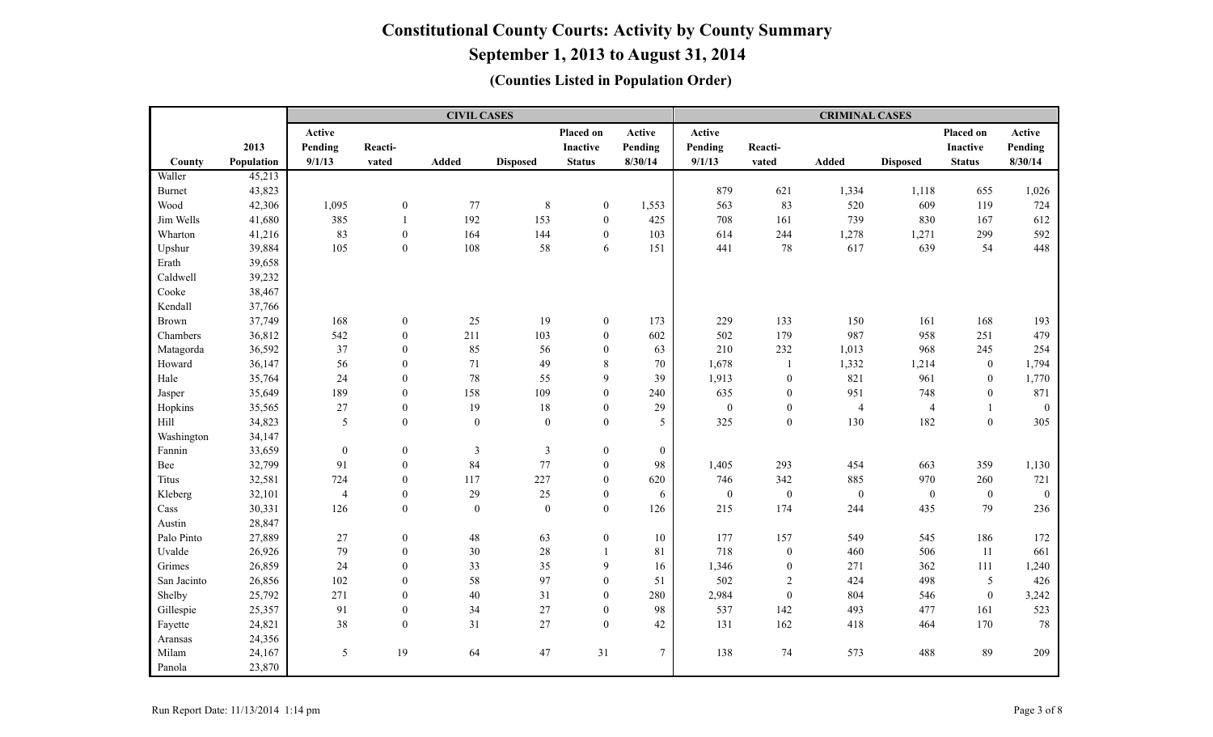**September 1, 2013 to August 31, 2014**

|               |            |                  |                  | <b>CIVIL CASES</b> |                 |                  |                  |                  |                  | <b>CRIMINAL CASES</b> |                  |                  |                  |
|---------------|------------|------------------|------------------|--------------------|-----------------|------------------|------------------|------------------|------------------|-----------------------|------------------|------------------|------------------|
|               |            | Active           |                  |                    |                 | Placed on        | Active           | Active           |                  |                       |                  | Placed on        | Active           |
|               | 2013       | Pending          | Reacti-          |                    |                 | <b>Inactive</b>  | Pending          | Pending          | Reacti-          |                       |                  | Inactive         | Pending          |
| County        | Population | 9/1/13           | vated            | Added              | <b>Disposed</b> | <b>Status</b>    | 8/30/14          | 9/1/13           | vated            | <b>Added</b>          | <b>Disposed</b>  | <b>Status</b>    | 8/30/14          |
| Waller        | 45,213     |                  |                  |                    |                 |                  |                  |                  |                  |                       |                  |                  |                  |
| <b>Burnet</b> | 43,823     |                  |                  |                    |                 |                  |                  | 879              | 621              | 1,334                 | 1,118            | 655              | 1,026            |
| Wood          | 42,306     | 1,095            | $\boldsymbol{0}$ | 77                 | $8\phantom{.0}$ | $\boldsymbol{0}$ | 1,553            | 563              | 83               | 520                   | 609              | 119              | 724              |
| Jim Wells     | 41,680     | 385              | $\mathbf{1}$     | 192                | 153             | $\boldsymbol{0}$ | 425              | 708              | 161              | 739                   | 830              | 167              | 612              |
| Wharton       | 41,216     | 83               | $\boldsymbol{0}$ | 164                | 144             | $\boldsymbol{0}$ | 103              | 614              | 244              | 1,278                 | 1,271            | 299              | 592              |
| Upshur        | 39,884     | 105              | $\boldsymbol{0}$ | 108                | 58              | 6                | 151              | 441              | $78\,$           | 617                   | 639              | 54               | 448              |
| Erath         | 39,658     |                  |                  |                    |                 |                  |                  |                  |                  |                       |                  |                  |                  |
| Caldwell      | 39,232     |                  |                  |                    |                 |                  |                  |                  |                  |                       |                  |                  |                  |
| Cooke         | 38,467     |                  |                  |                    |                 |                  |                  |                  |                  |                       |                  |                  |                  |
| Kendall       | 37,766     |                  |                  |                    |                 |                  |                  |                  |                  |                       |                  |                  |                  |
| <b>Brown</b>  | 37,749     | 168              | $\boldsymbol{0}$ | 25                 | 19              | $\boldsymbol{0}$ | 173              | 229              | 133              | 150                   | 161              | 168              | 193              |
| Chambers      | 36,812     | 542              | $\boldsymbol{0}$ | 211                | 103             | $\mathbf{0}$     | 602              | 502              | 179              | 987                   | 958              | 251              | 479              |
| Matagorda     | 36,592     | 37               | $\boldsymbol{0}$ | 85                 | 56              | $\boldsymbol{0}$ | 63               | 210              | 232              | 1,013                 | 968              | 245              | 254              |
| Howard        | 36,147     | 56               | $\boldsymbol{0}$ | 71                 | 49              | $8\,$            | 70               | 1,678            | $\mathbf{1}$     | 1,332                 | 1,214            | $\boldsymbol{0}$ | 1,794            |
| Hale          | 35,764     | 24               | $\boldsymbol{0}$ | $78\,$             | 55              | 9                | 39               | 1,913            | $\boldsymbol{0}$ | 821                   | 961              | $\boldsymbol{0}$ | 1,770            |
| Jasper        | 35,649     | 189              | $\boldsymbol{0}$ | 158                | 109             | $\theta$         | 240              | 635              | $\mathbf{0}$     | 951                   | 748              | $\mathbf{0}$     | 871              |
| Hopkins       | 35,565     | 27               | $\boldsymbol{0}$ | 19                 | $18\,$          | $\mathbf{0}$     | 29               | $\boldsymbol{0}$ | $\boldsymbol{0}$ | $\overline{4}$        | $\overline{4}$   |                  | $\boldsymbol{0}$ |
| Hill          | 34,823     | $\mathfrak{S}$   | $\boldsymbol{0}$ | $\boldsymbol{0}$   | $\mathbf{0}$    | $\boldsymbol{0}$ | 5                | 325              | $\boldsymbol{0}$ | 130                   | 182              | $\mathbf{0}$     | 305              |
| Washington    | 34,147     |                  |                  |                    |                 |                  |                  |                  |                  |                       |                  |                  |                  |
| Fannin        | 33,659     | $\boldsymbol{0}$ | $\boldsymbol{0}$ | $\mathfrak{Z}$     | $\mathfrak{Z}$  | $\boldsymbol{0}$ | $\boldsymbol{0}$ |                  |                  |                       |                  |                  |                  |
| Bee           | 32,799     | 91               | $\boldsymbol{0}$ | 84                 | 77              | $\overline{0}$   | 98               | 1,405            | 293              | 454                   | 663              | 359              | 1,130            |
| Titus         | 32,581     | 724              | $\boldsymbol{0}$ | 117                | 227             | $\mathbf{0}$     | 620              | 746              | 342              | 885                   | 970              | 260              | 721              |
| Kleberg       | 32,101     | $\overline{4}$   | $\boldsymbol{0}$ | 29                 | 25              | $\mathbf{0}$     | 6                | $\mathbf{0}$     | $\boldsymbol{0}$ | $\boldsymbol{0}$      | $\boldsymbol{0}$ | $\mathbf{0}$     | $\mathbf{0}$     |
| Cass          | 30,331     | 126              | $\boldsymbol{0}$ | $\overline{0}$     | $\mathbf{0}$    | $\boldsymbol{0}$ | 126              | 215              | 174              | 244                   | 435              | 79               | 236              |
| Austin        | 28,847     |                  |                  |                    |                 |                  |                  |                  |                  |                       |                  |                  |                  |
| Palo Pinto    | 27,889     | $27\,$           | $\boldsymbol{0}$ | $48\,$             | 63              | $\boldsymbol{0}$ | 10               | 177              | 157              | 549                   | 545              | 186              | 172              |
| Uvalde        | 26,926     | 79               | $\boldsymbol{0}$ | 30                 | $28\,$          | $\overline{1}$   | 81               | 718              | $\boldsymbol{0}$ | 460                   | 506              | 11               | 661              |
| Grimes        | 26,859     | 24               | $\boldsymbol{0}$ | 33                 | 35              | 9                | 16               | 1,346            | $\boldsymbol{0}$ | 271                   | 362              | 111              | 1,240            |
| San Jacinto   | 26,856     | 102              | $\boldsymbol{0}$ | 58                 | 97              | $\mathbf{0}$     | 51               | 502              | $\overline{2}$   | 424                   | 498              | 5                | 426              |
| Shelby        | 25,792     | 271              | $\boldsymbol{0}$ | 40                 | 31              | $\Omega$         | 280              | 2,984            | $\boldsymbol{0}$ | 804                   | 546              | $\theta$         | 3,242            |
| Gillespie     | 25,357     | 91               | $\boldsymbol{0}$ | 34                 | 27              | $\mathbf{0}$     | 98               | 537              | 142              | 493                   | 477              | 161              | 523              |
| Fayette       | 24,821     | $38\,$           | $\boldsymbol{0}$ | 31                 | 27              | $\boldsymbol{0}$ | 42               | 131              | 162              | 418                   | 464              | 170              | 78               |
| Aransas       | 24,356     |                  |                  |                    |                 |                  |                  |                  |                  |                       |                  |                  |                  |
| Milam         | 24,167     | 5                | 19               | 64                 | 47              | 31               | 7                | 138              | $74\,$           | 573                   | 488              | 89               | 209              |
| Panola        | 23,870     |                  |                  |                    |                 |                  |                  |                  |                  |                       |                  |                  |                  |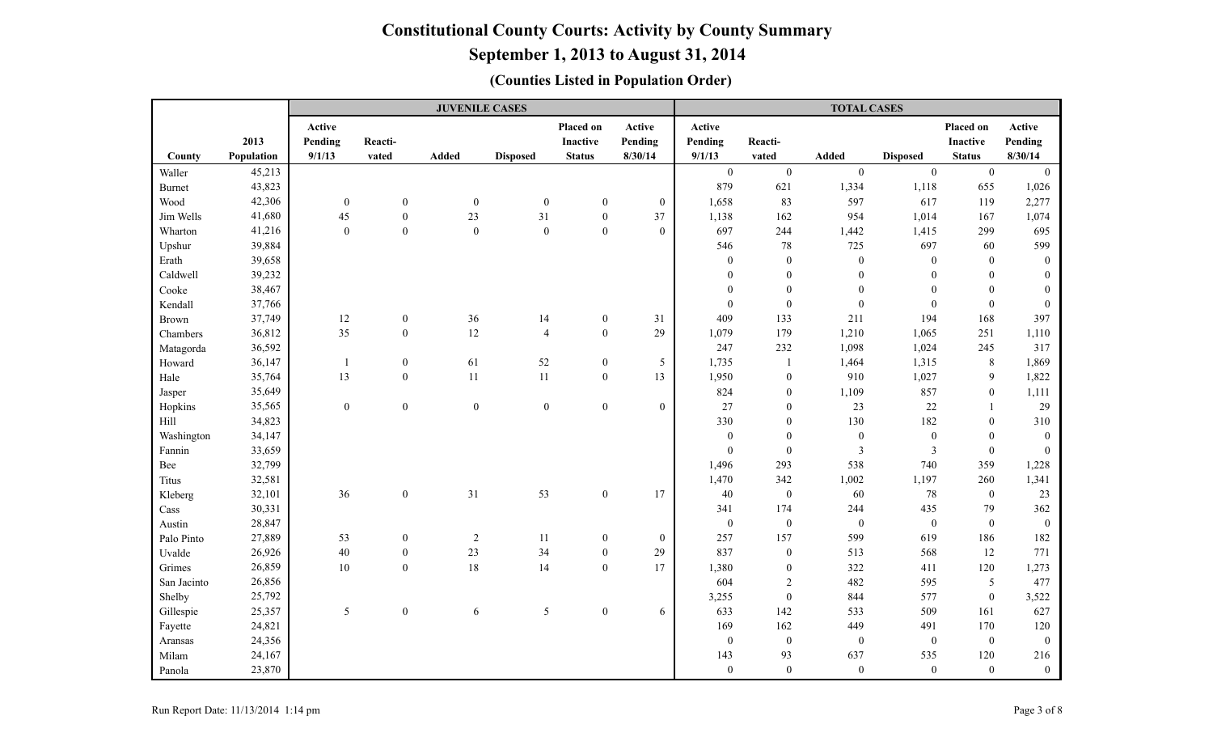|               |            |                   |                  | <b>JUVENILE CASES</b> |                  |                              |                   |                   |                  | <b>TOTAL CASES</b>      |                  |                              |                   |
|---------------|------------|-------------------|------------------|-----------------------|------------------|------------------------------|-------------------|-------------------|------------------|-------------------------|------------------|------------------------------|-------------------|
|               | 2013       | Active<br>Pending | Reacti-          |                       |                  | Placed on<br><b>Inactive</b> | Active<br>Pending | Active<br>Pending | Reacti-          |                         |                  | Placed on<br><b>Inactive</b> | Active<br>Pending |
| County        | Population | 9/1/13            | vated            | Added                 | <b>Disposed</b>  | <b>Status</b>                | 8/30/14           | 9/1/13            | vated            | Added                   | <b>Disposed</b>  | <b>Status</b>                | 8/30/14           |
| Waller        | 45,213     |                   |                  |                       |                  |                              |                   | $\overline{0}$    | $\boldsymbol{0}$ | $\mathbf{0}$            | $\boldsymbol{0}$ | $\mathbf{0}$                 | $\overline{0}$    |
| <b>Burnet</b> | 43,823     |                   |                  |                       |                  |                              |                   | 879               | 621              | 1,334                   | 1,118            | 655                          | 1,026             |
| Wood          | 42,306     | $\boldsymbol{0}$  | $\boldsymbol{0}$ | $\mathbf{0}$          | $\boldsymbol{0}$ | $\overline{0}$               | $\mathbf{0}$      | 1,658             | 83               | 597                     | 617              | 119                          | 2,277             |
| Jim Wells     | 41,680     | 45                | $\boldsymbol{0}$ | 23                    | 31               | $\boldsymbol{0}$             | 37                | 1,138             | 162              | 954                     | 1,014            | 167                          | 1,074             |
| Wharton       | 41,216     | $\boldsymbol{0}$  | $\boldsymbol{0}$ | $\mathbf{0}$          | $\boldsymbol{0}$ | $\mathbf{0}$                 | $\overline{0}$    | 697               | 244              | 1,442                   | 1,415            | 299                          | 695               |
| Upshur        | 39,884     |                   |                  |                       |                  |                              |                   | 546               | $78\,$           | 725                     | 697              | 60                           | 599               |
| Erath         | 39,658     |                   |                  |                       |                  |                              |                   | $\mathbf{0}$      | $\boldsymbol{0}$ | $\boldsymbol{0}$        | $\boldsymbol{0}$ | $\mathbf{0}$                 | $\mathbf{0}$      |
| Caldwell      | 39,232     |                   |                  |                       |                  |                              |                   | $\theta$          | $\boldsymbol{0}$ | $\boldsymbol{0}$        | $\theta$         | $\boldsymbol{0}$             | $\Omega$          |
| Cooke         | 38,467     |                   |                  |                       |                  |                              |                   | $\overline{0}$    | $\boldsymbol{0}$ | $\boldsymbol{0}$        | $\overline{0}$   | $\theta$                     | $\mathbf{0}$      |
| Kendall       | 37,766     |                   |                  |                       |                  |                              |                   | $\mathbf{0}$      | $\mathbf{0}$     | $\boldsymbol{0}$        | $\boldsymbol{0}$ | $\theta$                     | $\theta$          |
| <b>Brown</b>  | 37,749     | 12                | $\boldsymbol{0}$ | $36\,$                | 14               | $\boldsymbol{0}$             | 31                | 409               | 133              | 211                     | 194              | 168                          | 397               |
| Chambers      | 36,812     | 35                | $\mathbf{0}$     | 12                    | $\overline{4}$   | $\mathbf{0}$                 | 29                | 1,079             | 179              | 1,210                   | 1,065            | 251                          | 1,110             |
| Matagorda     | 36,592     |                   |                  |                       |                  |                              |                   | 247               | 232              | 1,098                   | 1,024            | 245                          | 317               |
| Howard        | 36,147     | $\mathbf{1}$      | $\boldsymbol{0}$ | 61                    | $52\,$           | $\boldsymbol{0}$             | 5                 | 1,735             | $\mathbf{1}$     | 1,464                   | 1,315            | 8                            | 1,869             |
| Hale          | 35,764     | 13                | $\boldsymbol{0}$ | 11                    | $11\,$           | $\boldsymbol{0}$             | 13                | 1,950             | $\boldsymbol{0}$ | 910                     | 1,027            | $\mathbf{9}$                 | 1,822             |
| Jasper        | 35,649     |                   |                  |                       |                  |                              |                   | 824               | $\boldsymbol{0}$ | 1,109                   | 857              | $\boldsymbol{0}$             | 1,111             |
| Hopkins       | 35,565     | $\boldsymbol{0}$  | $\boldsymbol{0}$ | $\boldsymbol{0}$      | $\boldsymbol{0}$ | $\boldsymbol{0}$             | $\boldsymbol{0}$  | 27                | $\boldsymbol{0}$ | 23                      | 22               | 1                            | 29                |
| Hill          | 34,823     |                   |                  |                       |                  |                              |                   | 330               | $\boldsymbol{0}$ | 130                     | 182              | $\theta$                     | 310               |
| Washington    | 34,147     |                   |                  |                       |                  |                              |                   | $\boldsymbol{0}$  | $\boldsymbol{0}$ | $\boldsymbol{0}$        | $\boldsymbol{0}$ | $\mathbf{0}$                 | $\boldsymbol{0}$  |
| Fannin        | 33,659     |                   |                  |                       |                  |                              |                   | $\boldsymbol{0}$  | $\boldsymbol{0}$ | $\overline{\mathbf{3}}$ | $\mathfrak{Z}$   | $\mathbf{0}$                 | $\mathbf{0}$      |
| Bee           | 32,799     |                   |                  |                       |                  |                              |                   | 1,496             | 293              | 538                     | 740              | 359                          | 1,228             |
| Titus         | 32,581     |                   |                  |                       |                  |                              |                   | 1,470             | 342              | 1,002                   | 1,197            | 260                          | 1,341             |
| Kleberg       | 32,101     | $36\,$            | $\boldsymbol{0}$ | 31                    | 53               | $\boldsymbol{0}$             | 17                | $40\,$            | $\boldsymbol{0}$ | 60                      | $78\,$           | $\mathbf{0}$                 | 23                |
| Cass          | 30,331     |                   |                  |                       |                  |                              |                   | 341               | 174              | 244                     | 435              | 79                           | 362               |
| Austin        | 28,847     |                   |                  |                       |                  |                              |                   | $\boldsymbol{0}$  | $\boldsymbol{0}$ | $\boldsymbol{0}$        | $\boldsymbol{0}$ | $\theta$                     | $\boldsymbol{0}$  |
| Palo Pinto    | 27,889     | 53                | $\boldsymbol{0}$ | $\sqrt{2}$            | 11               | $\overline{0}$               | $\mathbf{0}$      | 257               | 157              | 599                     | 619              | 186                          | 182               |
| Uvalde        | 26,926     | $40\,$            | $\boldsymbol{0}$ | 23                    | 34               | $\boldsymbol{0}$             | 29                | 837               | $\boldsymbol{0}$ | 513                     | 568              | $12\,$                       | 771               |
| Grimes        | 26,859     | $10\,$            | $\boldsymbol{0}$ | 18                    | 14               | $\mathbf{0}$                 | 17                | 1,380             | $\boldsymbol{0}$ | 322                     | 411              | 120                          | 1,273             |
| San Jacinto   | 26,856     |                   |                  |                       |                  |                              |                   | 604               | $\overline{2}$   | 482                     | 595              | 5                            | 477               |
| Shelby        | 25,792     |                   |                  |                       |                  |                              |                   | 3,255             | $\boldsymbol{0}$ | 844                     | 577              | $\boldsymbol{0}$             | 3,522             |
| Gillespie     | 25,357     | 5                 | $\mathbf{0}$     | 6                     | 5                | $\boldsymbol{0}$             | 6                 | 633               | 142              | 533                     | 509              | 161                          | 627               |
| Fayette       | 24,821     |                   |                  |                       |                  |                              |                   | 169               | 162              | 449                     | 491              | 170                          | 120               |
| Aransas       | 24,356     |                   |                  |                       |                  |                              |                   | $\mathbf{0}$      | $\boldsymbol{0}$ | $\boldsymbol{0}$        | $\boldsymbol{0}$ | $\mathbf{0}$                 | $\mathbf{0}$      |
| Milam         | 24,167     |                   |                  |                       |                  |                              |                   | 143               | 93               | 637                     | 535              | 120                          | 216               |
| Panola        | 23,870     |                   |                  |                       |                  |                              |                   | $\mathbf{0}$      | $\mathbf{0}$     | $\boldsymbol{0}$        | $\mathbf{0}$     | $\overline{0}$               | $\boldsymbol{0}$  |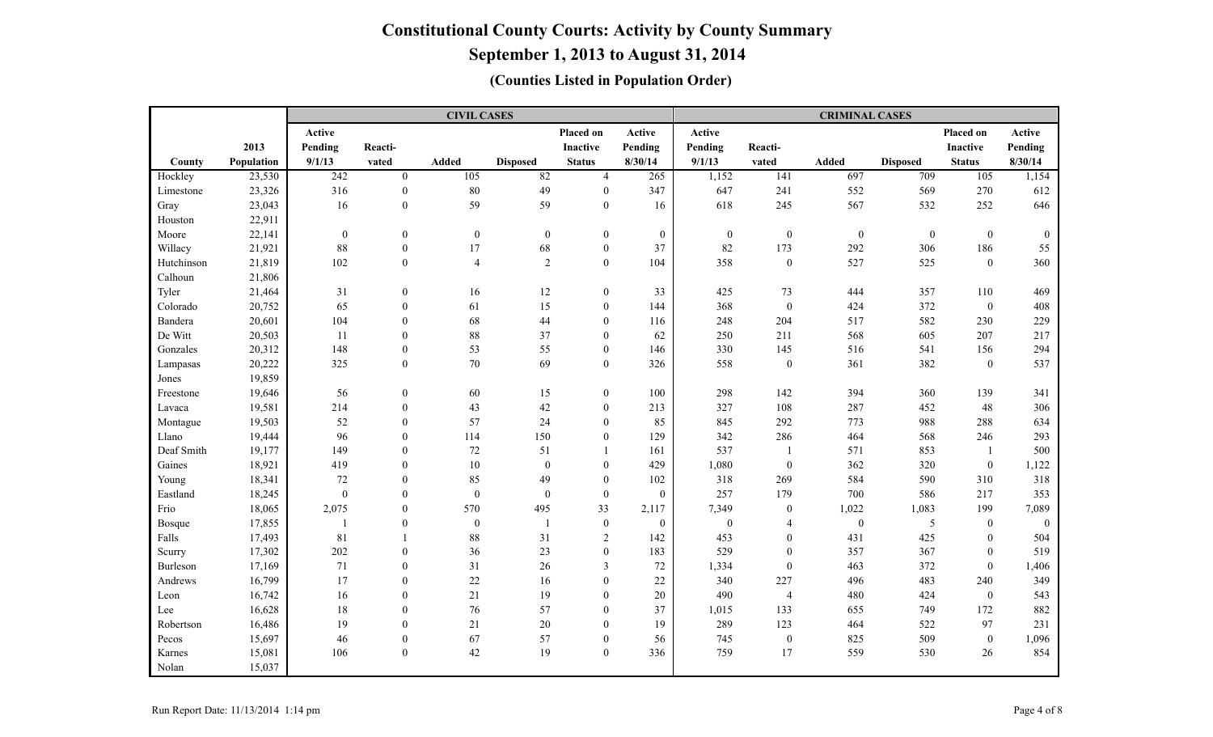**September 1, 2013 to August 31, 2014**

|            |            |                  |                  | <b>CIVIL CASES</b> |                  |                  |                  |                  |                  | <b>CRIMINAL CASES</b> |                  |                  |                  |
|------------|------------|------------------|------------------|--------------------|------------------|------------------|------------------|------------------|------------------|-----------------------|------------------|------------------|------------------|
|            |            | Active           |                  |                    |                  | Placed on        | Active           | Active           |                  |                       |                  | Placed on        | Active           |
|            | 2013       | Pending          | Reacti-          |                    |                  | Inactive         | Pending          | Pending          | Reacti-          |                       |                  | Inactive         | Pending          |
| County     | Population | 9/1/13           | vated            | Added              | <b>Disposed</b>  | <b>Status</b>    | 8/30/14          | 9/1/13           | vated            | Added                 | <b>Disposed</b>  | <b>Status</b>    | 8/30/14          |
| Hockley    | 23,530     | 242              | $\mathbf{0}$     | 105                | 82               | $\overline{4}$   | 265              | 1,152            | 141              | 697                   | 709              | 105              | 1,154            |
| Limestone  | 23,326     | 316              | $\boldsymbol{0}$ | $80\,$             | 49               | $\mathbf{0}$     | 347              | 647              | 241              | 552                   | 569              | 270              | 612              |
| Gray       | 23,043     | 16               | $\boldsymbol{0}$ | 59                 | 59               | $\mathbf{0}$     | 16               | 618              | 245              | 567                   | 532              | 252              | 646              |
| Houston    | 22,911     |                  |                  |                    |                  |                  |                  |                  |                  |                       |                  |                  |                  |
| Moore      | 22,141     | $\boldsymbol{0}$ | $\boldsymbol{0}$ | $\boldsymbol{0}$   | $\boldsymbol{0}$ | $\boldsymbol{0}$ | $\boldsymbol{0}$ | $\boldsymbol{0}$ | $\boldsymbol{0}$ | $\boldsymbol{0}$      | $\boldsymbol{0}$ | $\mathbf{0}$     | $\boldsymbol{0}$ |
| Willacy    | 21,921     | $88\,$           | $\boldsymbol{0}$ | 17                 | 68               | $\boldsymbol{0}$ | 37               | 82               | 173              | 292                   | 306              | 186              | 55               |
| Hutchinson | 21,819     | 102              | $\boldsymbol{0}$ | $\overline{4}$     | 2                | $\overline{0}$   | 104              | 358              | $\boldsymbol{0}$ | 527                   | 525              | $\mathbf{0}$     | 360              |
| Calhoun    | 21,806     |                  |                  |                    |                  |                  |                  |                  |                  |                       |                  |                  |                  |
| Tyler      | 21,464     | 31               | $\boldsymbol{0}$ | 16                 | 12               | $\mathbf{0}$     | 33               | 425              | 73               | 444                   | 357              | 110              | 469              |
| Colorado   | 20,752     | 65               | $\boldsymbol{0}$ | 61                 | 15               | $\mathbf{0}$     | 144              | 368              | $\boldsymbol{0}$ | 424                   | 372              | $\mathbf{0}$     | 408              |
| Bandera    | 20,601     | 104              | $\boldsymbol{0}$ | 68                 | 44               | $\theta$         | 116              | 248              | 204              | 517                   | 582              | 230              | 229              |
| De Witt    | 20,503     | <sup>11</sup>    | $\boldsymbol{0}$ | $88\,$             | 37               | $\mathbf{0}$     | 62               | 250              | 211              | 568                   | 605              | 207              | 217              |
| Gonzales   | 20,312     | 148              | $\boldsymbol{0}$ | 53                 | 55               | $\overline{0}$   | 146              | 330              | 145              | 516                   | 541              | 156              | 294              |
| Lampasas   | 20,222     | 325              | $\boldsymbol{0}$ | $70\,$             | 69               | $\boldsymbol{0}$ | 326              | 558              | $\boldsymbol{0}$ | 361                   | 382              | $\boldsymbol{0}$ | 537              |
| Jones      | 19,859     |                  |                  |                    |                  |                  |                  |                  |                  |                       |                  |                  |                  |
| Freestone  | 19,646     | 56               | $\boldsymbol{0}$ | 60                 | 15               | $\mathbf{0}$     | 100              | 298              | 142              | 394                   | 360              | 139              | 341              |
| Lavaca     | 19,581     | 214              | $\boldsymbol{0}$ | 43                 | 42               | $\mathbf{0}$     | 213              | 327              | 108              | 287                   | 452              | 48               | 306              |
| Montague   | 19,503     | 52               | $\boldsymbol{0}$ | 57                 | 24               | $\overline{0}$   | 85               | 845              | 292              | 773                   | 988              | 288              | 634              |
| Llano      | 19,444     | 96               | $\boldsymbol{0}$ | 114                | 150              | $\theta$         | 129              | 342              | 286              | 464                   | 568              | 246              | 293              |
| Deaf Smith | 19,177     | 149              | $\mathbf{0}$     | 72                 | 51               |                  | 161              | 537              | $\overline{1}$   | 571                   | 853              | -1               | 500              |
| Gaines     | 18,921     | 419              | $\mathbf{0}$     | 10                 | $\mathbf{0}$     | $\overline{0}$   | 429              | 1,080            | $\boldsymbol{0}$ | 362                   | 320              | $\boldsymbol{0}$ | 1,122            |
| Young      | 18,341     | 72               | $\boldsymbol{0}$ | 85                 | 49               | $\overline{0}$   | 102              | 318              | 269              | 584                   | 590              | 310              | 318              |
| Eastland   | 18,245     | $\boldsymbol{0}$ | $\boldsymbol{0}$ | $\boldsymbol{0}$   | $\mathbf{0}$     | $\mathbf{0}$     | $\mathbf{0}$     | 257              | 179              | 700                   | 586              | 217              | 353              |
| Frio       | 18,065     | 2,075            | $\boldsymbol{0}$ | 570                | 495              | 33               | 2,117            | 7,349            | $\bf{0}$         | 1,022                 | 1,083            | 199              | 7,089            |
| Bosque     | 17,855     | $\mathbf{1}$     | $\boldsymbol{0}$ | $\boldsymbol{0}$   | $\overline{1}$   | $\boldsymbol{0}$ | $\mathbf{0}$     | $\mathbf{0}$     | $\overline{4}$   | $\boldsymbol{0}$      | 5                | $\mathbf{0}$     | $\theta$         |
| Falls      | 17,493     | 81               | $\mathbf{1}$     | 88                 | 31               | $\sqrt{2}$       | 142              | 453              | $\boldsymbol{0}$ | 431                   | 425              | $\mathbf{0}$     | 504              |
| Scurry     | 17,302     | 202              | $\mathbf{0}$     | 36                 | 23               | $\boldsymbol{0}$ | 183              | 529              | $\boldsymbol{0}$ | 357                   | 367              | $\mathbf{0}$     | 519              |
| Burleson   | 17,169     | 71               | $\boldsymbol{0}$ | 31                 | $26\,$           | 3                | 72               | 1,334            | $\overline{0}$   | 463                   | 372              | $\theta$         | 1,406            |
| Andrews    | 16,799     | 17               | $\boldsymbol{0}$ | 22                 | 16               | $\boldsymbol{0}$ | 22               | 340              | 227              | 496                   | 483              | 240              | 349              |
| Leon       | 16,742     | 16               | $\mathbf{0}$     | $21\,$             | 19               | $\mathbf{0}$     | 20               | 490              | $\overline{4}$   | 480                   | 424              | $\boldsymbol{0}$ | 543              |
| Lee        | 16,628     | $18\,$           | $\boldsymbol{0}$ | 76                 | 57               | $\mathbf{0}$     | 37               | 1,015            | 133              | 655                   | 749              | 172              | 882              |
| Robertson  | 16,486     | 19               | $\boldsymbol{0}$ | 21                 | $20\,$           | $\overline{0}$   | 19               | 289              | 123              | 464                   | 522              | 97               | 231              |
| Pecos      | 15,697     | 46               | $\boldsymbol{0}$ | 67                 | 57               | $\boldsymbol{0}$ | 56               | 745              | $\boldsymbol{0}$ | 825                   | 509              | $\boldsymbol{0}$ | 1,096            |
| Karnes     | 15,081     | 106              | $\boldsymbol{0}$ | 42                 | 19               | $\boldsymbol{0}$ | 336              | 759              | 17               | 559                   | 530              | 26               | 854              |
| Nolan      | 15,037     |                  |                  |                    |                  |                  |                  |                  |                  |                       |                  |                  |                  |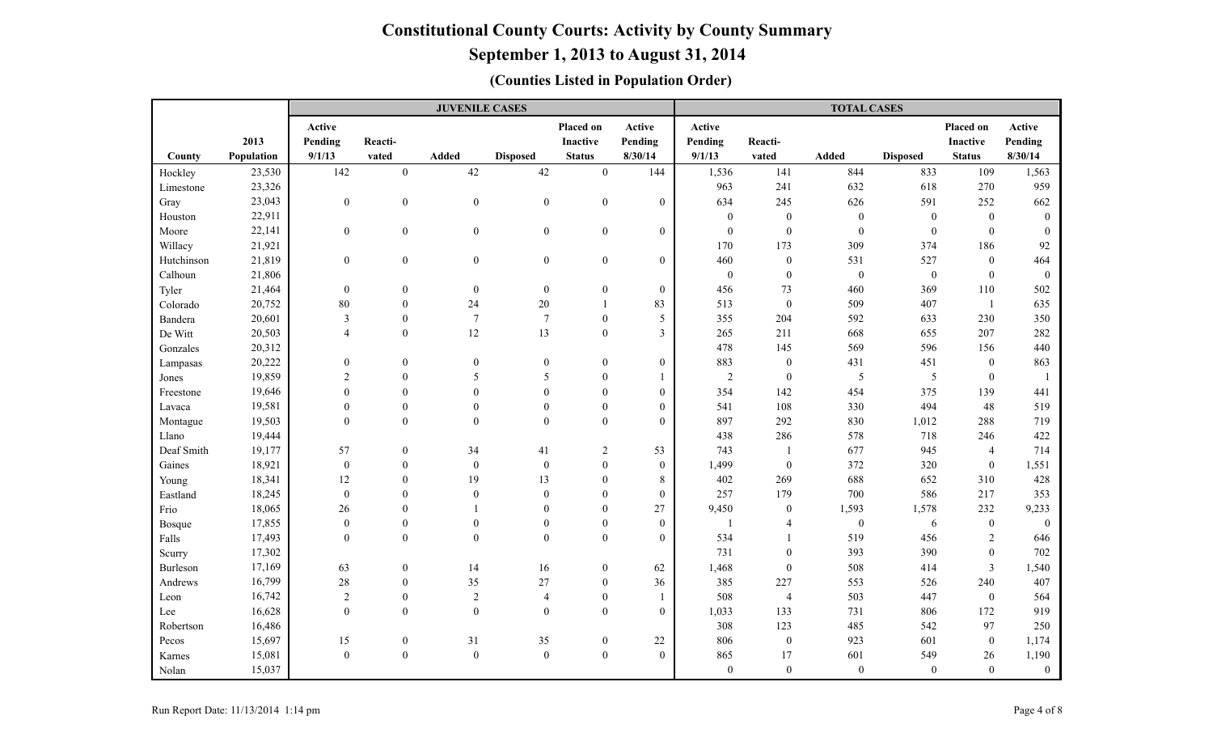# **September 1, 2013 to August 31, 2014**

|            |            |                  |                  | <b>JUVENILE CASES</b> |                  |                  |                  |                  |                  | <b>TOTAL CASES</b> |                  |                  |                  |
|------------|------------|------------------|------------------|-----------------------|------------------|------------------|------------------|------------------|------------------|--------------------|------------------|------------------|------------------|
|            |            | Active           |                  |                       |                  | Placed on        | Active           | Active           |                  |                    |                  | Placed on        | Active           |
|            | 2013       | Pending          | Reacti-          |                       |                  | <b>Inactive</b>  | Pending          | Pending          | Reacti-          |                    |                  | <b>Inactive</b>  | Pending          |
| County     | Population | 9/1/13           | vated            | Added                 | <b>Disposed</b>  | <b>Status</b>    | 8/30/14          | 9/1/13           | vated            | Added              | <b>Disposed</b>  | <b>Status</b>    | 8/30/14          |
| Hockley    | 23,530     | 142              | $\mathbf{0}$     | $42\,$                | $42\,$           | $\mathbf{0}$     | 144              | 1,536            | 141              | 844                | 833              | 109              | 1,563            |
| Limestone  | 23,326     |                  |                  |                       |                  |                  |                  | 963              | 241              | 632                | 618              | 270              | 959              |
| Gray       | 23,043     | $\boldsymbol{0}$ | $\boldsymbol{0}$ | $\mathbf{0}$          | $\boldsymbol{0}$ | $\boldsymbol{0}$ | $\boldsymbol{0}$ | 634              | 245              | 626                | 591              | 252              | 662              |
| Houston    | 22,911     |                  |                  |                       |                  |                  |                  | $\mathbf{0}$     | $\boldsymbol{0}$ | $\boldsymbol{0}$   | $\boldsymbol{0}$ | $\mathbf{0}$     | $\theta$         |
| Moore      | 22,141     | $\boldsymbol{0}$ | $\mathbf{0}$     | $\mathbf{0}$          | $\boldsymbol{0}$ | $\boldsymbol{0}$ | $\boldsymbol{0}$ | $\boldsymbol{0}$ | $\boldsymbol{0}$ | $\boldsymbol{0}$   | $\boldsymbol{0}$ | $\theta$         | $\mathbf{0}$     |
| Willacy    | 21,921     |                  |                  |                       |                  |                  |                  | 170              | 173              | 309                | 374              | 186              | 92               |
| Hutchinson | 21,819     | $\overline{0}$   | $\boldsymbol{0}$ | $\mathbf{0}$          | $\boldsymbol{0}$ | $\boldsymbol{0}$ | $\overline{0}$   | 460              | $\boldsymbol{0}$ | 531                | 527              | $\mathbf{0}$     | 464              |
| Calhoun    | 21,806     |                  |                  |                       |                  |                  |                  | $\boldsymbol{0}$ | $\boldsymbol{0}$ | $\boldsymbol{0}$   | $\boldsymbol{0}$ | $\mathbf{0}$     | $\mathbf{0}$     |
| Tyler      | 21,464     | $\boldsymbol{0}$ | $\boldsymbol{0}$ | $\mathbf{0}$          | $\boldsymbol{0}$ | $\boldsymbol{0}$ | $\boldsymbol{0}$ | 456              | 73               | 460                | 369              | 110              | 502              |
| Colorado   | 20,752     | 80               | $\mathbf{0}$     | 24                    | $20\,$           | $\mathbf{1}$     | 83               | 513              | $\boldsymbol{0}$ | 509                | 407              | $\mathbf{1}$     | 635              |
| Bandera    | 20,601     | $\mathfrak{Z}$   | $\mathbf{0}$     | $\overline{7}$        | $\overline{7}$   | $\boldsymbol{0}$ | 5                | 355              | 204              | 592                | 633              | 230              | 350              |
| De Witt    | 20,503     | $\overline{4}$   | $\mathbf{0}$     | 12                    | 13               | $\boldsymbol{0}$ | $\overline{3}$   | 265              | 211              | 668                | 655              | 207              | 282              |
| Gonzales   | 20,312     |                  |                  |                       |                  |                  |                  | 478              | 145              | 569                | 596              | 156              | 440              |
| Lampasas   | 20,222     | $\boldsymbol{0}$ | $\boldsymbol{0}$ | $\overline{0}$        | $\mathbf{0}$     | $\overline{0}$   | $\boldsymbol{0}$ | 883              | $\boldsymbol{0}$ | 431                | 451              | $\bf{0}$         | 863              |
| Jones      | 19,859     | $\overline{2}$   | $\mathbf{0}$     | 5                     | 5                | $\mathbf{0}$     | 1                | $\overline{2}$   | $\boldsymbol{0}$ | $\mathfrak{S}$     | $\sqrt{5}$       | $\mathbf{0}$     | -1               |
| Freestone  | 19,646     | $\boldsymbol{0}$ | $\mathbf{0}$     | $\mathbf{0}$          | $\overline{0}$   | $\mathbf{0}$     | $\overline{0}$   | 354              | 142              | 454                | 375              | 139              | 441              |
| Lavaca     | 19,581     | $\boldsymbol{0}$ | $\boldsymbol{0}$ | $\mathbf{0}$          | $\boldsymbol{0}$ | $\boldsymbol{0}$ | $\boldsymbol{0}$ | 541              | 108              | 330                | 494              | 48               | 519              |
| Montague   | 19,503     | $\boldsymbol{0}$ | $\mathbf{0}$     | $\mathbf{0}$          | $\mathbf{0}$     | $\overline{0}$   | $\overline{0}$   | 897              | 292              | 830                | 1,012            | 288              | 719              |
| Llano      | 19,444     |                  |                  |                       |                  |                  |                  | 438              | 286              | 578                | 718              | 246              | 422              |
| Deaf Smith | 19,177     | 57               | $\boldsymbol{0}$ | 34                    | 41               | $\overline{2}$   | 53               | 743              | -1               | 677                | 945              | $\overline{4}$   | 714              |
| Gaines     | 18,921     | $\boldsymbol{0}$ | $\mathbf{0}$     | $\mathbf{0}$          | $\mathbf{0}$     | $\overline{0}$   | $\mathbf{0}$     | 1,499            | $\boldsymbol{0}$ | 372                | 320              | $\mathbf{0}$     | 1,551            |
| Young      | 18,341     | 12               | $\theta$         | 19                    | 13               | $\Omega$         | $\,8\,$          | 402              | 269              | 688                | 652              | 310              | 428              |
| Eastland   | 18,245     | $\boldsymbol{0}$ | $\boldsymbol{0}$ | $\mathbf{0}$          | $\boldsymbol{0}$ | $\mathbf{0}$     | $\boldsymbol{0}$ | 257              | 179              | 700                | 586              | 217              | 353              |
| Frio       | 18,065     | 26               | $\mathbf{0}$     |                       | $\overline{0}$   | $\mathbf{0}$     | 27               | 9,450            | $\boldsymbol{0}$ | 1,593              | 1,578            | 232              | 9,233            |
| Bosque     | 17,855     | $\boldsymbol{0}$ | $\boldsymbol{0}$ | $\mathbf{0}$          | $\overline{0}$   | $\mathbf{0}$     | $\overline{0}$   | -1               | $\overline{4}$   | $\boldsymbol{0}$   | 6                | $\boldsymbol{0}$ | $\mathbf{0}$     |
| Falls      | 17,493     | $\boldsymbol{0}$ | $\boldsymbol{0}$ | $\theta$              | $\mathbf{0}$     | $\boldsymbol{0}$ | $\overline{0}$   | 534              | $\mathbf{1}$     | 519                | 456              | $\sqrt{2}$       | 646              |
| Scurry     | 17,302     |                  |                  |                       |                  |                  |                  | 731              | $\boldsymbol{0}$ | 393                | 390              | $\mathbf{0}$     | 702              |
| Burleson   | 17,169     | 63               | $\mathbf{0}$     | 14                    | $16\,$           | $\overline{0}$   | 62               | 1,468            | $\boldsymbol{0}$ | 508                | 414              | $\overline{3}$   | 1,540            |
| Andrews    | 16,799     | 28               | $\boldsymbol{0}$ | 35                    | 27               | $\boldsymbol{0}$ | 36               | 385              | 227              | 553                | 526              | 240              | 407              |
| Leon       | 16,742     | $\sqrt{2}$       | $\mathbf{0}$     | $\overline{2}$        | $\overline{4}$   | $\overline{0}$   | $\mathbf{1}$     | 508              | $\overline{4}$   | 503                | 447              | $\mathbf{0}$     | 564              |
| Lee        | 16,628     | $\boldsymbol{0}$ | $\boldsymbol{0}$ | $\mathbf{0}$          | $\mathbf{0}$     | $\overline{0}$   | $\overline{0}$   | 1,033            | 133              | 731                | 806              | 172              | 919              |
| Robertson  | 16,486     |                  |                  |                       |                  |                  |                  | 308              | 123              | 485                | 542              | 97               | 250              |
| Pecos      | 15,697     | 15               | $\boldsymbol{0}$ | 31                    | $35\,$           | $\boldsymbol{0}$ | 22               | 806              | $\boldsymbol{0}$ | 923                | 601              | $\boldsymbol{0}$ | 1,174            |
| Karnes     | 15,081     | $\boldsymbol{0}$ | $\theta$         | $\mathbf{0}$          | $\boldsymbol{0}$ | $\overline{0}$   | $\theta$         | 865              | 17               | 601                | 549              | 26               | 1,190            |
| Nolan      | 15,037     |                  |                  |                       |                  |                  |                  | $\boldsymbol{0}$ | $\boldsymbol{0}$ | $\boldsymbol{0}$   | $\boldsymbol{0}$ | $\mathbf{0}$     | $\boldsymbol{0}$ |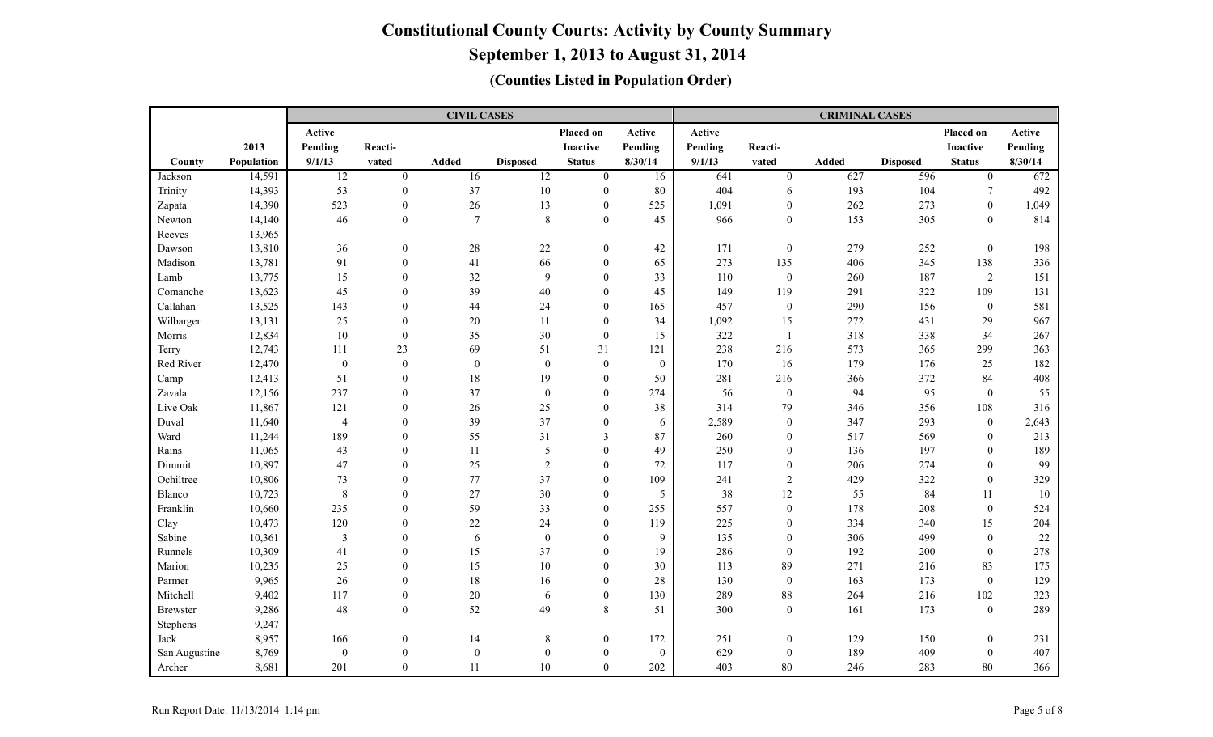**September 1, 2013 to August 31, 2014**

|                 |            |                         |                  | <b>CIVIL CASES</b> |                  |                  |              |         |                  | <b>CRIMINAL CASES</b> |                 |                  |         |
|-----------------|------------|-------------------------|------------------|--------------------|------------------|------------------|--------------|---------|------------------|-----------------------|-----------------|------------------|---------|
|                 |            | Active                  |                  |                    |                  | Placed on        | Active       | Active  |                  |                       |                 | Placed on        | Active  |
|                 | 2013       | Pending                 | Reacti-          |                    |                  | Inactive         | Pending      | Pending | Reacti-          |                       |                 | <b>Inactive</b>  | Pending |
| County          | Population | 9/1/13                  | vated            | Added              | <b>Disposed</b>  | <b>Status</b>    | 8/30/14      | 9/1/13  | vated            | <b>Added</b>          | <b>Disposed</b> | <b>Status</b>    | 8/30/14 |
| Jackson         | 14,591     | $\overline{12}$         | $\overline{0}$   | 16                 | $\overline{12}$  | $\mathbf{0}$     | 16           | 641     | $\mathbf{0}$     | 627                   | 596             | $\overline{0}$   | 672     |
| Trinity         | 14,393     | 53                      | $\mathbf{0}$     | 37                 | $10\,$           | $\mathbf{0}$     | 80           | 404     | 6                | 193                   | 104             | $\tau$           | 492     |
| Zapata          | 14,390     | 523                     | $\mathbf{0}$     | $26\,$             | 13               | $\mathbf{0}$     | 525          | 1,091   | $\mathbf{0}$     | 262                   | 273             | $\mathbf{0}$     | 1,049   |
| Newton          | 14,140     | 46                      | $\mathbf{0}$     | $7\phantom{.0}$    | $\,8\,$          | $\overline{0}$   | 45           | 966     | $\boldsymbol{0}$ | 153                   | 305             | $\mathbf{0}$     | 814     |
| Reeves          | 13,965     |                         |                  |                    |                  |                  |              |         |                  |                       |                 |                  |         |
| Dawson          | 13,810     | 36                      | $\mathbf{0}$     | 28                 | 22               | $\overline{0}$   | 42           | 171     | $\boldsymbol{0}$ | 279                   | 252             | $\mathbf{0}$     | 198     |
| Madison         | 13,781     | 91                      | $\boldsymbol{0}$ | 41                 | 66               | $\overline{0}$   | 65           | 273     | 135              | 406                   | 345             | 138              | 336     |
| Lamb            | 13,775     | 15                      | $\mathbf{0}$     | 32                 | 9                | $\overline{0}$   | 33           | 110     | $\boldsymbol{0}$ | 260                   | 187             | $\overline{2}$   | 151     |
| Comanche        | 13,623     | 45                      | $\mathbf{0}$     | 39                 | 40               | $\overline{0}$   | 45           | 149     | 119              | 291                   | 322             | 109              | 131     |
| Callahan        | 13,525     | 143                     | $\theta$         | 44                 | 24               | $\theta$         | 165          | 457     | $\boldsymbol{0}$ | 290                   | 156             | $\mathbf{0}$     | 581     |
| Wilbarger       | 13,131     | 25                      | $\boldsymbol{0}$ | 20                 | 11               | $\theta$         | 34           | 1,092   | 15               | 272                   | 431             | 29               | 967     |
| Morris          | 12,834     | $10\,$                  | $\mathbf{0}$     | 35                 | 30               | $\mathbf{0}$     | 15           | 322     | $\mathbf{1}$     | 318                   | 338             | 34               | 267     |
| Terry           | 12,743     | 111                     | 23               | 69                 | 51               | 31               | 121          | 238     | 216              | 573                   | 365             | 299              | 363     |
| Red River       | 12,470     | $\boldsymbol{0}$        | $\boldsymbol{0}$ | $\overline{0}$     | $\mathbf{0}$     | $\mathbf{0}$     | $\mathbf{0}$ | 170     | 16               | 179                   | 176             | 25               | 182     |
| Camp            | 12,413     | 51                      | $\mathbf{0}$     | $18\,$             | 19               | $\boldsymbol{0}$ | 50           | 281     | 216              | 366                   | 372             | 84               | 408     |
| Zavala          | 12,156     | 237                     | $\mathbf{0}$     | 37                 | $\boldsymbol{0}$ | $\overline{0}$   | 274          | 56      | $\boldsymbol{0}$ | 94                    | 95              | $\mathbf{0}$     | 55      |
| Live Oak        | 11,867     | 121                     | $\boldsymbol{0}$ | 26                 | 25               | $\boldsymbol{0}$ | 38           | 314     | 79               | 346                   | 356             | 108              | 316     |
| Duval           | 11,640     | $\overline{4}$          | $\theta$         | 39                 | 37               | $\overline{0}$   | 6            | 2,589   | $\boldsymbol{0}$ | 347                   | 293             | $\mathbf{0}$     | 2,643   |
| Ward            | 11,244     | 189                     | $\mathbf{0}$     | 55                 | 31               | 3                | 87           | 260     | $\boldsymbol{0}$ | 517                   | 569             | $\mathbf{0}$     | 213     |
| Rains           | 11,065     | 43                      | $\mathbf{0}$     | 11                 | 5                | $\theta$         | 49           | 250     | $\mathbf{0}$     | 136                   | 197             | $\mathbf{0}$     | 189     |
| Dimmit          | 10,897     | 47                      | $\boldsymbol{0}$ | 25                 | $\sqrt{2}$       | $\theta$         | 72           | 117     | $\boldsymbol{0}$ | 206                   | 274             | $\theta$         | 99      |
| Ochiltree       | 10,806     | 73                      | $\mathbf{0}$     | 77                 | 37               | $\overline{0}$   | 109          | 241     | $\overline{2}$   | 429                   | 322             | $\mathbf{0}$     | 329     |
| Blanco          | 10,723     | $\,8\,$                 | $\boldsymbol{0}$ | 27                 | $30\,$           | $\overline{0}$   | 5            | 38      | 12               | 55                    | 84              | 11               | 10      |
| Franklin        | 10,660     | 235                     | $\mathbf{0}$     | 59                 | 33               | $\boldsymbol{0}$ | 255          | 557     | $\boldsymbol{0}$ | 178                   | 208             | $\boldsymbol{0}$ | 524     |
| Clay            | 10,473     | 120                     | $\theta$         | 22                 | 24               | $\theta$         | 119          | 225     | $\boldsymbol{0}$ | 334                   | 340             | 15               | 204     |
| Sabine          | 10,361     | $\overline{\mathbf{3}}$ | $\theta$         | 6                  | $\mathbf{0}$     | $\overline{0}$   | 9            | 135     | $\boldsymbol{0}$ | 306                   | 499             | $\mathbf{0}$     | 22      |
| Runnels         | 10,309     | 41                      | $\boldsymbol{0}$ | 15                 | 37               | $\theta$         | 19           | 286     | $\boldsymbol{0}$ | 192                   | 200             | $\mathbf{0}$     | 278     |
| Marion          | 10,235     | 25                      | $\mathbf{0}$     | 15                 | $10\,$           | $\overline{0}$   | 30           | 113     | 89               | 271                   | 216             | 83               | 175     |
| Parmer          | 9,965      | 26                      | $\theta$         | $18\,$             | 16               | $\theta$         | $28\,$       | 130     | $\boldsymbol{0}$ | 163                   | 173             | $\mathbf{0}$     | 129     |
| Mitchell        | 9,402      | 117                     | $\boldsymbol{0}$ | $20\,$             | 6                | $\overline{0}$   | 130          | 289     | $88\,$           | 264                   | 216             | 102              | 323     |
| <b>Brewster</b> | 9,286      | 48                      | $\boldsymbol{0}$ | 52                 | 49               | 8                | 51           | 300     | $\boldsymbol{0}$ | 161                   | 173             | $\boldsymbol{0}$ | 289     |
| Stephens        | 9,247      |                         |                  |                    |                  |                  |              |         |                  |                       |                 |                  |         |
| Jack            | 8,957      | 166                     | $\boldsymbol{0}$ | 14                 | 8                | $\boldsymbol{0}$ | 172          | 251     | $\boldsymbol{0}$ | 129                   | 150             | $\mathbf{0}$     | 231     |
| San Augustine   | 8,769      | $\boldsymbol{0}$        | $\boldsymbol{0}$ | $\boldsymbol{0}$   | $\mathbf{0}$     | $\overline{0}$   | $\mathbf{0}$ | 629     | $\boldsymbol{0}$ | 189                   | 409             | $\mathbf{0}$     | 407     |
| Archer          | 8,681      | 201                     | $\mathbf{0}$     | 11                 | $10\,$           | $\mathbf{0}$     | 202          | 403     | 80               | 246                   | 283             | 80               | 366     |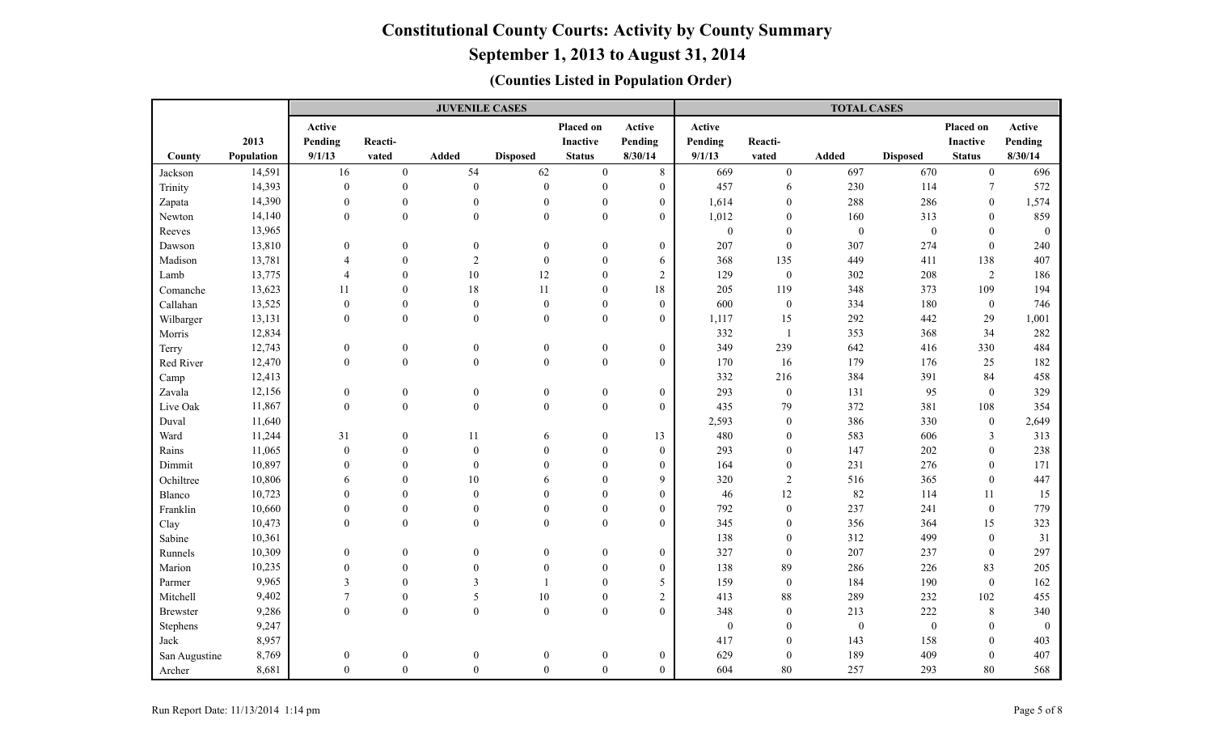# **September 1, 2013 to August 31, 2014**

|                 |            |                  |                  | <b>JUVENILE CASES</b> |                  |                  |                  |              |                  | <b>TOTAL CASES</b> |                  |                  |              |
|-----------------|------------|------------------|------------------|-----------------------|------------------|------------------|------------------|--------------|------------------|--------------------|------------------|------------------|--------------|
|                 |            | Active           |                  |                       |                  | Placed on        | Active           | Active       |                  |                    |                  | Placed on        | Active       |
|                 | 2013       | Pending          | Reacti-          |                       |                  | <b>Inactive</b>  | Pending          | Pending      | Reacti-          |                    |                  | Inactive         | Pending      |
| County          | Population | 9/1/13           | vated            | <b>Added</b>          | <b>Disposed</b>  | <b>Status</b>    | 8/30/14          | 9/1/13       | vated            | Added              | <b>Disposed</b>  | <b>Status</b>    | 8/30/14      |
| Jackson         | 14,591     | 16               | $\mathbf{0}$     | 54                    | 62               | $\overline{0}$   | 8                | 669          | $\boldsymbol{0}$ | 697                | 670              | $\overline{0}$   | 696          |
| Trinity         | 14,393     | $\mathbf{0}$     | $\mathbf{0}$     | $\mathbf{0}$          | $\boldsymbol{0}$ | $\mathbf{0}$     | $\overline{0}$   | 457          | 6                | 230                | 114              | $\tau$           | 572          |
| Zapata          | 14,390     | $\overline{0}$   | $\boldsymbol{0}$ | $\boldsymbol{0}$      | $\boldsymbol{0}$ | $\mathbf{0}$     | $\boldsymbol{0}$ | 1,614        | $\mathbf{0}$     | 288                | 286              | $\mathbf{0}$     | 1,574        |
| Newton          | 14,140     | $\mathbf{0}$     | $\mathbf{0}$     | $\mathbf{0}$          | $\mathbf{0}$     | $\mathbf{0}$     | $\overline{0}$   | 1,012        | $\mathbf{0}$     | 160                | 313              | $\mathbf{0}$     | 859          |
| Reeves          | 13,965     |                  |                  |                       |                  |                  |                  | $\mathbf{0}$ | $\mathbf{0}$     | $\boldsymbol{0}$   | $\boldsymbol{0}$ | $\theta$         | $\mathbf{0}$ |
| Dawson          | 13,810     | $\theta$         | $\boldsymbol{0}$ | $\boldsymbol{0}$      | $\boldsymbol{0}$ | $\boldsymbol{0}$ | $\boldsymbol{0}$ | 207          | $\boldsymbol{0}$ | 307                | 274              | $\boldsymbol{0}$ | 240          |
| Madison         | 13,781     | $\overline{4}$   | $\boldsymbol{0}$ | $\overline{2}$        | $\boldsymbol{0}$ | $\mathbf{0}$     | 6                | 368          | 135              | 449                | 411              | 138              | 407          |
| Lamb            | 13,775     | $\overline{4}$   | $\theta$         | $10\,$                | 12               | $\mathbf{0}$     | $\overline{c}$   | 129          | $\boldsymbol{0}$ | 302                | 208              | 2                | 186          |
| Comanche        | 13,623     | 11               | $\Omega$         | $18\,$                | $11\,$           | $\theta$         | $18\,$           | 205          | 119              | 348                | 373              | 109              | 194          |
| Callahan        | 13,525     | $\boldsymbol{0}$ | $\boldsymbol{0}$ | $\boldsymbol{0}$      | $\boldsymbol{0}$ | $\mathbf{0}$     | $\overline{0}$   | 600          | $\boldsymbol{0}$ | 334                | 180              | $\mathbf{0}$     | 746          |
| Wilbarger       | 13,131     | $\mathbf{0}$     | $\overline{0}$   | $\mathbf{0}$          | $\boldsymbol{0}$ | $\theta$         | $\overline{0}$   | 1,117        | 15               | 292                | 442              | 29               | 1,001        |
| Morris          | 12,834     |                  |                  |                       |                  |                  |                  | 332          | $\mathbf{1}$     | 353                | 368              | 34               | 282          |
| Terry           | 12,743     | $\mathbf{0}$     | $\boldsymbol{0}$ | $\boldsymbol{0}$      | $\boldsymbol{0}$ | $\boldsymbol{0}$ | $\boldsymbol{0}$ | 349          | 239              | 642                | 416              | 330              | 484          |
| Red River       | 12,470     | $\mathbf{0}$     | $\mathbf{0}$     | $\mathbf{0}$          | $\mathbf{0}$     | $\boldsymbol{0}$ | $\overline{0}$   | 170          | 16               | 179                | 176              | 25               | 182          |
| Camp            | 12,413     |                  |                  |                       |                  |                  |                  | 332          | 216              | 384                | 391              | 84               | 458          |
| Zavala          | 12,156     | $\boldsymbol{0}$ | $\boldsymbol{0}$ | $\boldsymbol{0}$      | $\boldsymbol{0}$ | $\boldsymbol{0}$ | $\overline{0}$   | 293          | $\boldsymbol{0}$ | 131                | 95               | $\mathbf{0}$     | 329          |
| Live Oak        | 11,867     | $\boldsymbol{0}$ | $\boldsymbol{0}$ | $\boldsymbol{0}$      | $\boldsymbol{0}$ | $\boldsymbol{0}$ | $\boldsymbol{0}$ | 435          | 79               | 372                | 381              | 108              | 354          |
| Duval           | 11,640     |                  |                  |                       |                  |                  |                  | 2,593        | $\boldsymbol{0}$ | 386                | 330              | $\mathbf{0}$     | 2,649        |
| Ward            | 11,244     | 31               | $\boldsymbol{0}$ | 11                    | 6                | $\mathbf{0}$     | 13               | 480          | $\mathbf{0}$     | 583                | 606              | 3                | 313          |
| Rains           | 11,065     | $\boldsymbol{0}$ | $\theta$         | $\theta$              | $\Omega$         | $\theta$         | $\mathbf{0}$     | 293          | $\boldsymbol{0}$ | 147                | $202\,$          | $\Omega$         | 238          |
| Dimmit          | 10,897     | $\boldsymbol{0}$ | $\theta$         | $\mathbf{0}$          | $\mathbf{0}$     | $\theta$         | $\boldsymbol{0}$ | 164          | $\boldsymbol{0}$ | 231                | 276              | $\theta$         | 171          |
| Ochiltree       | 10,806     | 6                | $\Omega$         | 10                    | 6                | $\theta$         | 9                | 320          | $\overline{c}$   | 516                | 365              | $\theta$         | 447          |
| Blanco          | 10,723     | $\theta$         | $\mathbf{0}$     | $\theta$              | $\mathbf{0}$     | $\theta$         | $\overline{0}$   | 46           | 12               | 82                 | 114              | 11               | 15           |
| Franklin        | 10,660     | $\boldsymbol{0}$ | $\boldsymbol{0}$ | $\mathbf{0}$          | $\boldsymbol{0}$ | $\mathbf{0}$     | $\boldsymbol{0}$ | 792          | $\boldsymbol{0}$ | 237                | 241              | $\mathbf{0}$     | 779          |
| Clay            | 10,473     | $\mathbf{0}$     | $\mathbf{0}$     | $\mathbf{0}$          | $\mathbf{0}$     | $\theta$         | $\overline{0}$   | 345          | $\boldsymbol{0}$ | 356                | 364              | 15               | 323          |
| Sabine          | 10,361     |                  |                  |                       |                  |                  |                  | 138          | $\boldsymbol{0}$ | 312                | 499              | $\theta$         | 31           |
| Runnels         | 10,309     | $\boldsymbol{0}$ | $\boldsymbol{0}$ | $\theta$              | $\boldsymbol{0}$ | $\boldsymbol{0}$ | $\mathbf{0}$     | 327          | $\boldsymbol{0}$ | 207                | 237              | $\boldsymbol{0}$ | 297          |
| Marion          | 10,235     | $\boldsymbol{0}$ | $\theta$         | $\mathbf{0}$          | $\mathbf{0}$     | $\theta$         | $\boldsymbol{0}$ | 138          | 89               | 286                | 226              | 83               | 205          |
| Parmer          | 9,965      | $\overline{3}$   | $\Omega$         | 3                     | $\overline{1}$   | $\theta$         | 5                | 159          | $\boldsymbol{0}$ | 184                | 190              | $\mathbf{0}$     | 162          |
| Mitchell        | 9,402      | $\tau$           | $\theta$         | 5                     | 10               | $\theta$         | $\overline{c}$   | 413          | 88               | 289                | 232              | 102              | 455          |
| <b>Brewster</b> | 9,286      | $\boldsymbol{0}$ | $\mathbf{0}$     | $\mathbf{0}$          | $\boldsymbol{0}$ | $\boldsymbol{0}$ | $\overline{0}$   | 348          | $\boldsymbol{0}$ | 213                | 222              | 8                | 340          |
| Stephens        | 9,247      |                  |                  |                       |                  |                  |                  | $\bf{0}$     | $\boldsymbol{0}$ | $\boldsymbol{0}$   | $\mathbf{0}$     | $\theta$         | $\mathbf{0}$ |
| Jack            | 8,957      |                  |                  |                       |                  |                  |                  | 417          | $\boldsymbol{0}$ | 143                | 158              | $\mathbf{0}$     | 403          |
| San Augustine   | 8,769      | $\boldsymbol{0}$ | $\boldsymbol{0}$ | $\boldsymbol{0}$      | $\boldsymbol{0}$ | $\boldsymbol{0}$ | $\boldsymbol{0}$ | 629          | $\boldsymbol{0}$ | 189                | 409              | $\Omega$         | 407          |
| Archer          | 8,681      | $\boldsymbol{0}$ | $\boldsymbol{0}$ | $\mathbf{0}$          | $\boldsymbol{0}$ | $\mathbf{0}$     | $\overline{0}$   | 604          | 80               | 257                | 293              | 80               | 568          |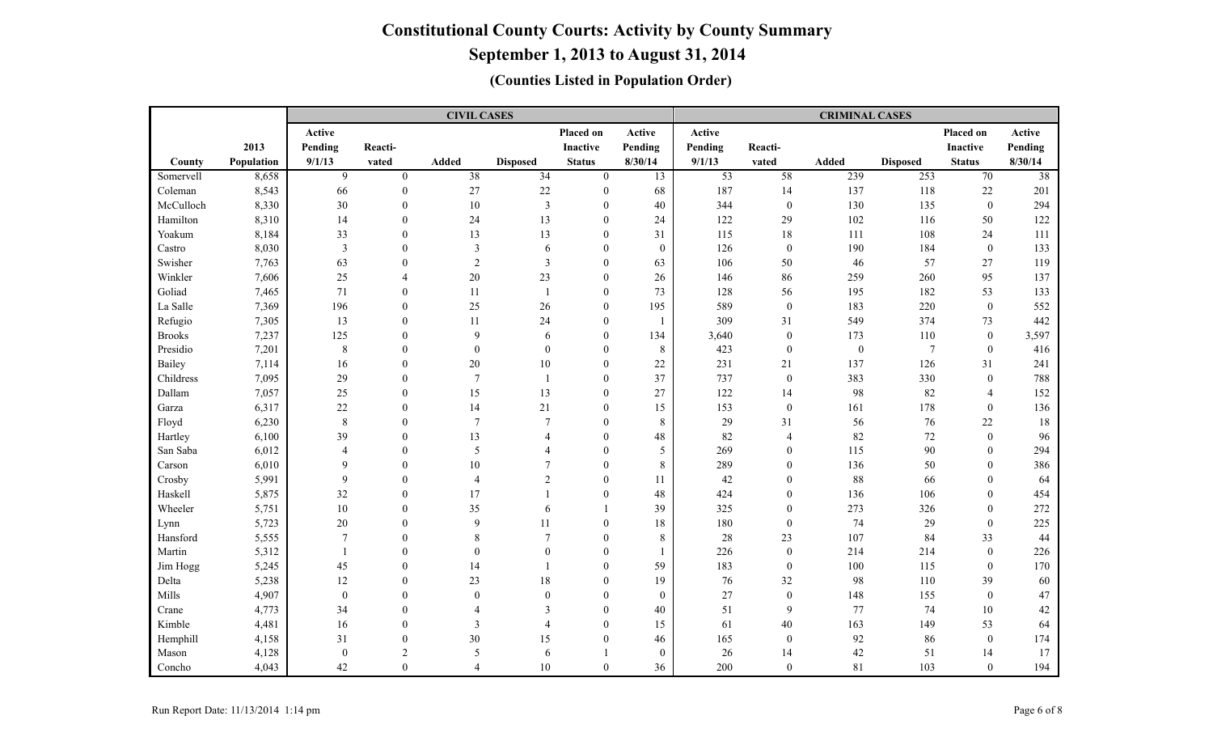**September 1, 2013 to August 31, 2014**

|               |            |                  |                  | <b>CIVIL CASES</b> |                 |                  |                 |                 |                  | <b>CRIMINAL CASES</b> |                 |                  |                 |
|---------------|------------|------------------|------------------|--------------------|-----------------|------------------|-----------------|-----------------|------------------|-----------------------|-----------------|------------------|-----------------|
|               |            | Active           |                  |                    |                 | Placed on        | Active          | Active          |                  |                       |                 | Placed on        | Active          |
|               | 2013       | Pending          | Reacti-          |                    |                 | Inactive         | Pending         | Pending         | Reacti-          |                       |                 | <b>Inactive</b>  | Pending         |
| County        | Population | 9/1/13           | vated            | <b>Added</b>       | <b>Disposed</b> | <b>Status</b>    | 8/30/14         | 9/1/13          | vated            | <b>Added</b>          | <b>Disposed</b> | <b>Status</b>    | 8/30/14         |
| Somervell     | 8,658      | 9                | $\mathbf{0}$     | $\overline{38}$    | $\overline{34}$ | $\mathbf{0}$     | $\overline{13}$ | $\overline{53}$ | $\overline{58}$  | 239                   | 253             | 70               | $\overline{38}$ |
| Coleman       | 8,543      | 66               | $\mathbf{0}$     | 27                 | $22\,$          | $\mathbf{0}$     | 68              | 187             | 14               | 137                   | 118             | 22               | 201             |
| McCulloch     | 8,330      | 30               | $\mathbf{0}$     | $10\,$             | $\overline{3}$  | $\mathbf{0}$     | 40              | 344             | $\bf{0}$         | 130                   | 135             | $\boldsymbol{0}$ | 294             |
| Hamilton      | 8,310      | 14               | $\boldsymbol{0}$ | 24                 | 13              | $\Omega$         | 24              | 122             | $29\,$           | 102                   | 116             | 50               | 122             |
| Yoakum        | 8,184      | 33               | $\mathbf{0}$     | 13                 | 13              | $\mathbf{0}$     | 31              | 115             | $18\,$           | 111                   | 108             | 24               | 111             |
| Castro        | 8,030      | $\mathfrak{Z}$   | $\theta$         | 3                  | 6               | $\mathbf{0}$     | $\mathbf{0}$    | 126             | $\boldsymbol{0}$ | 190                   | 184             | $\bf{0}$         | 133             |
| Swisher       | 7,763      | 63               | $\theta$         | $\overline{c}$     | $\mathfrak{Z}$  | $\mathbf{0}$     | 63              | 106             | 50               | 46                    | 57              | 27               | 119             |
| Winkler       | 7,606      | 25               | $\overline{4}$   | 20                 | 23              | $\theta$         | 26              | 146             | 86               | 259                   | 260             | 95               | 137             |
| Goliad        | 7,465      | 71               | $\mathbf{0}$     | 11                 | -1              | $\theta$         | 73              | 128             | 56               | 195                   | 182             | 53               | 133             |
| La Salle      | 7,369      | 196              | $\mathbf{0}$     | 25                 | $26\,$          | $\mathbf{0}$     | 195             | 589             | $\mathbf{0}$     | 183                   | 220             | $\mathbf{0}$     | 552             |
| Refugio       | 7,305      | 13               | $\mathbf{0}$     | 11                 | 24              | $\theta$         |                 | 309             | 31               | 549                   | 374             | 73               | 442             |
| <b>Brooks</b> | 7,237      | 125              | $\mathbf{0}$     | 9                  | 6               | $\mathbf{0}$     | 134             | 3,640           | $\mathbf{0}$     | 173                   | 110             | $\mathbf{0}$     | 3,597           |
| Presidio      | 7,201      | $\,8\,$          | $\mathbf{0}$     | $\boldsymbol{0}$   | $\mathbf{0}$    | $\mathbf{0}$     | 8               | 423             | $\boldsymbol{0}$ | $\boldsymbol{0}$      | $\overline{7}$  | $\bf{0}$         | 416             |
| Bailey        | 7,114      | 16               | $\boldsymbol{0}$ | $20\,$             | $10\,$          | $\mathbf{0}$     | $22\,$          | 231             | 21               | 137                   | 126             | 31               | 241             |
| Childress     | 7,095      | 29               | $\theta$         | $\tau$             | $\overline{1}$  | $\mathbf{0}$     | 37              | 737             | $\boldsymbol{0}$ | 383                   | 330             | $\mathbf{0}$     | 788             |
| Dallam        | 7,057      | 25               | $\mathbf{0}$     | 15                 | 13              | $\mathbf{0}$     | 27              | 122             | 14               | 98                    | 82              | $\overline{4}$   | 152             |
| Garza         | 6,317      | 22               | $\theta$         | 14                 | 21              | $\Omega$         | 15              | 153             | $\bf{0}$         | 161                   | 178             | $\theta$         | 136             |
| Floyd         | 6,230      | $\,8\,$          | $\theta$         | $\tau$             | $\overline{7}$  | $\Omega$         | $\,8\,$         | 29              | 31               | 56                    | 76              | 22               | 18              |
| Hartley       | 6,100      | 39               | $\theta$         | 13                 | $\overline{A}$  | $\theta$         | 48              | 82              | $\overline{4}$   | 82                    | $72\,$          | $\mathbf{0}$     | 96              |
| San Saba      | 6,012      | $\overline{4}$   | $\Omega$         | 5                  | Δ               | $\Omega$         | 5               | 269             | $\mathbf{0}$     | 115                   | 90              | $\mathbf{0}$     | 294             |
| Carson        | 6,010      | $\mathbf{Q}$     | $\theta$         | 10                 | $\overline{7}$  | $\theta$         | 8               | 289             | $\overline{0}$   | 136                   | 50              | $\theta$         | 386             |
| Crosby        | 5,991      | 9                | $\mathbf{0}$     | 4                  | $\overline{2}$  | $\Omega$         | 11              | 42              | $\mathbf{0}$     | 88                    | 66              | $\theta$         | 64              |
| Haskell       | 5,875      | 32               | $\boldsymbol{0}$ | 17                 |                 | $\mathbf{0}$     | 48              | 424             | $\boldsymbol{0}$ | 136                   | 106             | $\mathbf{0}$     | 454             |
| Wheeler       | 5,751      | 10               | $\theta$         | 35                 | 6               |                  | 39              | 325             | $\overline{0}$   | 273                   | 326             | $\theta$         | 272             |
| Lynn          | 5,723      | $20\,$           | $\theta$         | 9                  | 11              | $\mathbf{0}$     | 18              | 180             | $\overline{0}$   | 74                    | 29              | $\theta$         | 225             |
| Hansford      | 5,555      | $7\phantom{.0}$  | $\Omega$         | 8                  | $7\phantom{.0}$ | $\mathbf{0}$     | $\,8\,$         | 28              | 23               | 107                   | 84              | 33               | 44              |
| Martin        | 5,312      | $\overline{1}$   | $\Omega$         | $\Omega$           | $\theta$        | $\theta$         |                 | 226             | $\boldsymbol{0}$ | 214                   | 214             | $\theta$         | 226             |
| Jim Hogg      | 5,245      | 45               | $\Omega$         | 14                 |                 | $\theta$         | 59              | 183             | $\boldsymbol{0}$ | 100                   | 115             | $\mathbf{0}$     | 170             |
| Delta         | 5,238      | 12               | $\theta$         | 23                 | 18              | $\theta$         | 19              | 76              | 32               | 98                    | 110             | 39               | 60              |
| Mills         | 4,907      | $\boldsymbol{0}$ | $\theta$         | $\theta$           | $\Omega$        | $\Omega$         | $\theta$        | 27              | $\mathbf{0}$     | 148                   | 155             | $\theta$         | 47              |
| Crane         | 4,773      | 34               | $\mathbf{0}$     | 4                  | 3               | $\theta$         | 40              | 51              | 9                | 77                    | 74              | 10               | 42              |
| Kimble        | 4,481      | 16               | $\theta$         | 3                  | $\overline{4}$  | $\mathbf{0}$     | 15              | 61              | 40               | 163                   | 149             | 53               | 64              |
| Hemphill      | 4,158      | 31               | $\boldsymbol{0}$ | $30\,$             | 15              | $\boldsymbol{0}$ | 46              | 165             | $\boldsymbol{0}$ | 92                    | 86              | $\bf{0}$         | 174             |
| Mason         | 4,128      | $\overline{0}$   | $\overline{2}$   | 5                  | 6               |                  | $\theta$        | 26              | 14               | 42                    | 51              | 14               | 17              |
| Concho        | 4,043      | 42               | $\boldsymbol{0}$ | $\overline{4}$     | $10\,$          | $\mathbf{0}$     | 36              | 200             | $\mathbf{0}$     | 81                    | 103             | $\mathbf{0}$     | 194             |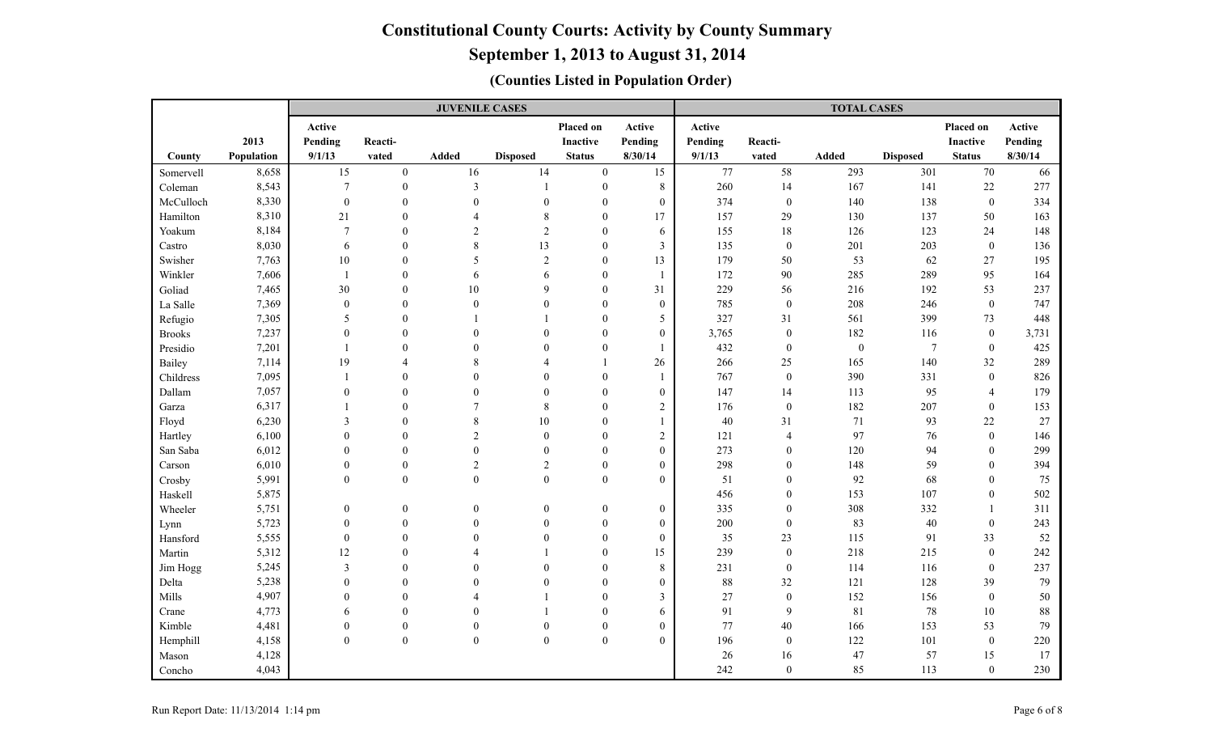# **September 1, 2013 to August 31, 2014**

|                   |                |                                    |                              | <b>JUVENILE CASES</b>        |                              |                          |                                      |            |                        | <b>TOTAL CASES</b> |                 |                    |            |
|-------------------|----------------|------------------------------------|------------------------------|------------------------------|------------------------------|--------------------------|--------------------------------------|------------|------------------------|--------------------|-----------------|--------------------|------------|
|                   |                | Active                             |                              |                              |                              | Placed on                | Active                               | Active     |                        |                    |                 | Placed on          | Active     |
|                   | 2013           | Pending                            | Reacti-                      |                              |                              | Inactive                 | Pending                              | Pending    | Reacti-                |                    |                 | <b>Inactive</b>    | Pending    |
| County            | Population     | 9/1/13                             | vated                        | Added                        | <b>Disposed</b>              | <b>Status</b>            | 8/30/14                              | 9/1/13     | vated                  | Added              | <b>Disposed</b> | <b>Status</b>      | 8/30/14    |
| Somervell         | 8,658          | 15                                 | $\boldsymbol{0}$             | 16                           | 14                           | $\overline{0}$           | 15                                   | 77         | 58                     | 293                | 301             | 70                 | 66         |
| Coleman           | 8,543          | $\overline{7}$                     | $\boldsymbol{0}$             | $\overline{\mathbf{3}}$      | $\overline{1}$               | $\boldsymbol{0}$         | $\,8\,$                              | 260        | 14                     | 167                | 141             | 22                 | 277        |
| McCulloch         | 8,330          | $\boldsymbol{0}$                   | $\theta$                     | $\mathbf{0}$                 | $\overline{0}$               | $\theta$                 | $\boldsymbol{0}$                     | 374        | $\boldsymbol{0}$       | 140                | 138             | $\mathbf{0}$       | 334        |
| Hamilton          | 8,310          | 21                                 | $\mathbf{0}$                 | $\boldsymbol{\varDelta}$     | $\,$ 8 $\,$                  | $\mathbf{0}$             | 17                                   | 157        | 29                     | 130                | 137             | 50                 | 163        |
| Yoakum            | 8,184          | $\overline{7}$                     | $\theta$                     | $\overline{2}$               | $\overline{2}$               | $\mathbf{0}$             | 6                                    | 155        | 18                     | 126                | 123             | 24                 | 148        |
| Castro            | 8,030          | 6                                  | $\theta$                     | 8                            | 13                           | $\mathbf{0}$             | $\mathfrak{Z}$                       | 135        | $\boldsymbol{0}$       | 201                | 203             | $\boldsymbol{0}$   | 136        |
| Swisher           | 7,763          | 10                                 | $\theta$                     | 5                            | $\sqrt{2}$                   | $\mathbf{0}$             | 13                                   | 179        | $50\,$                 | 53                 | 62              | 27                 | 195        |
| Winkler           | 7,606          | $\overline{1}$                     | $\Omega$                     | 6                            | 6                            | $\mathbf{0}$             |                                      | 172        | $90\,$                 | 285                | 289             | 95                 | 164        |
| Goliad            | 7,465          | 30                                 | $\Omega$                     | 10                           | 9                            | $\Omega$                 | 31                                   | 229        | 56                     | 216                | 192             | 53                 | 237        |
| La Salle          | 7,369          | $\boldsymbol{0}$                   | $\Omega$                     | $\mathbf{0}$                 | $\theta$                     | $\theta$                 | $\boldsymbol{0}$                     | 785        | $\boldsymbol{0}$       | 208                | 246             | $\mathbf{0}$       | 747        |
| Refugio           | 7,305          | 5                                  | $\Omega$                     |                              |                              | $\Omega$                 | 5                                    | 327        | 31                     | 561                | 399             | 73                 | 448        |
| <b>Brooks</b>     | 7,237          | $\overline{0}$                     | $\Omega$                     | $\theta$                     | $\theta$                     | $\theta$                 | $\boldsymbol{0}$                     | 3,765      | $\boldsymbol{0}$       | 182                | 116             | $\mathbf{0}$       | 3,731      |
| Presidio          | 7,201          | $\overline{1}$                     | $\theta$                     | $\theta$                     | $\theta$                     | $\mathbf{0}$             |                                      | 432        | $\boldsymbol{0}$       | $\boldsymbol{0}$   | $\overline{7}$  | $\boldsymbol{0}$   | 425        |
| Bailey            | 7,114          | 19                                 | 4                            | 8                            |                              | $\mathbf{1}$             | 26                                   | 266        | 25                     | 165                | 140             | 32                 | 289        |
| Childress         | 7,095          | $\overline{1}$                     | $\Omega$                     | $\Omega$                     | $\theta$                     | $\mathbf{0}$             |                                      | 767        | $\boldsymbol{0}$       | 390                | 331             | $\mathbf{0}$       | 826        |
| Dallam            | 7,057          | $\boldsymbol{0}$                   | $\theta$                     | $\theta$                     | $\theta$                     | $\boldsymbol{0}$         | $\boldsymbol{0}$                     | 147        | 14                     | 113                | 95              | $\overline{4}$     | 179        |
| Garza             | 6,317          | $\overline{1}$                     | $\Omega$                     | $\overline{7}$               | $\,$ 8 $\,$                  | $\overline{0}$           | $\overline{2}$                       | 176        | $\boldsymbol{0}$       | 182                | 207             | $\mathbf{0}$       | 153        |
| Floyd             | 6,230          | 3                                  | $\Omega$                     | 8                            | 10                           | $\theta$                 |                                      | 40         | 31                     | 71                 | 93              | $22\,$             | 27         |
| Hartley           | 6,100          | $\theta$                           | $\Omega$                     | $\overline{2}$               | $\boldsymbol{0}$             | $\Omega$                 | $\sqrt{2}$                           | 121        | 4                      | 97                 | 76              | $\boldsymbol{0}$   | 146        |
| San Saba          | 6,012          | $\theta$                           | $\Omega$                     | $\theta$                     | $\mathbf{0}$                 | $\theta$                 | $\mathbf{0}$                         | 273        | $\mathbf{0}$           | 120                | 94              | $\mathbf{0}$       | 299        |
| Carson            | 6,010          | $\boldsymbol{0}$                   | $\mathbf{0}$                 | $\overline{2}$               | $\sqrt{2}$                   | $\mathbf{0}$             | $\boldsymbol{0}$                     | 298        | $\boldsymbol{0}$       | 148                | 59              | $\mathbf{0}$       | 394        |
| Crosby            | 5,991          | $\mathbf{0}$                       | $\overline{0}$               | $\mathbf{0}$                 | $\overline{0}$               | $\overline{0}$           | $\overline{0}$                       | 51         | $\mathbf{0}$           | 92                 | 68              | $\mathbf{0}$       | 75         |
| Haskell           | 5,875          |                                    |                              |                              |                              |                          |                                      | 456        | $\boldsymbol{0}$       | 153                | 107             | $\mathbf{0}$       | 502        |
| Wheeler           | 5,751<br>5,723 | $\boldsymbol{0}$                   | $\boldsymbol{0}$<br>$\theta$ | $\boldsymbol{0}$<br>$\Omega$ | $\boldsymbol{0}$<br>$\theta$ | $\boldsymbol{0}$         | $\boldsymbol{0}$                     | 335<br>200 | $\boldsymbol{0}$       | 308<br>83          | 332<br>40       |                    | 311<br>243 |
| Lynn<br>Hansford  | 5,555          | $\boldsymbol{0}$<br>$\overline{0}$ | $\Omega$                     | $\Omega$                     | $\theta$                     | $\mathbf{0}$<br>$\theta$ | $\boldsymbol{0}$<br>$\boldsymbol{0}$ | 35         | $\boldsymbol{0}$<br>23 | 115                | 91              | $\mathbf{0}$<br>33 | 52         |
| Martin            | 5,312          | 12                                 | $\Omega$                     | Δ                            |                              | $\theta$                 | 15                                   | 239        | $\boldsymbol{0}$       | 218                | 215             | $\mathbf{0}$       | 242        |
|                   | 5,245          | $\overline{\mathbf{3}}$            | $\Omega$                     | $\Omega$                     | $\theta$                     | $\mathbf{0}$             | 8                                    | 231        | $\boldsymbol{0}$       | 114                | 116             | $\mathbf{0}$       | 237        |
| Jim Hogg<br>Delta | 5,238          | $\theta$                           | $\Omega$                     | $\Omega$                     | $\theta$                     | $\theta$                 | $\mathbf{0}$                         | 88         | $32\,$                 | 121                | 128             | 39                 | 79         |
| Mills             | 4,907          | $\overline{0}$                     | $\theta$                     | Δ                            |                              | $\mathbf{0}$             | $\mathfrak{Z}$                       | 27         | $\boldsymbol{0}$       | 152                | 156             | $\mathbf{0}$       | 50         |
| Crane             | 4,773          | 6                                  | $\theta$                     | $\Omega$                     |                              | $\mathbf{0}$             | $\sqrt{6}$                           | 91         | 9                      | 81                 | 78              | 10                 | 88         |
| Kimble            | 4,481          | $\boldsymbol{0}$                   | $\boldsymbol{0}$             | $\boldsymbol{0}$             | $\theta$                     | $\boldsymbol{0}$         | $\boldsymbol{0}$                     | 77         | $40\,$                 | 166                | 153             | 53                 | 79         |
| Hemphill          | 4,158          | $\boldsymbol{0}$                   | $\boldsymbol{0}$             | $\boldsymbol{0}$             | $\boldsymbol{0}$             | $\boldsymbol{0}$         | $\mathbf{0}$                         | 196        | $\boldsymbol{0}$       | 122                | 101             | $\boldsymbol{0}$   | 220        |
| Mason             | 4,128          |                                    |                              |                              |                              |                          |                                      | 26         | 16                     | 47                 | 57              | 15                 | 17         |
| Concho            | 4,043          |                                    |                              |                              |                              |                          |                                      | 242        | $\boldsymbol{0}$       | 85                 | 113             | $\boldsymbol{0}$   | 230        |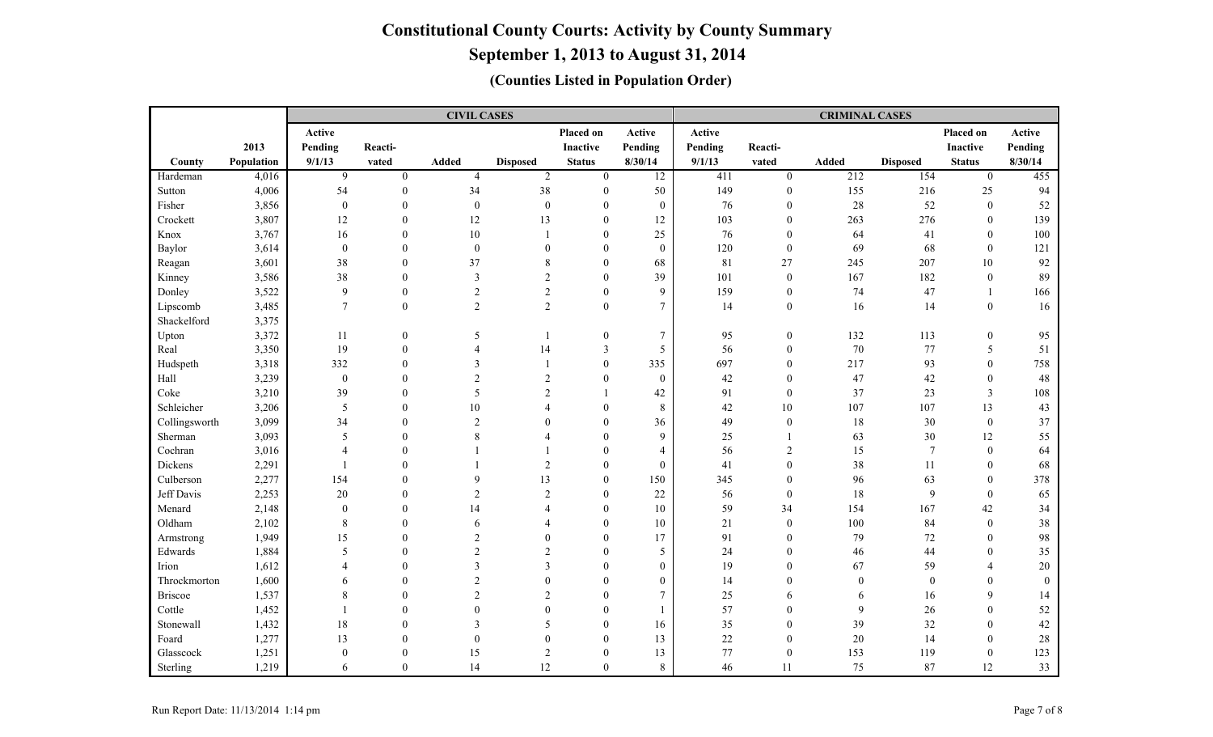# **September 1, 2013 to August 31, 2014**

|                |            |                  |                  | <b>CIVIL CASES</b>      |                          |                  |                  | <b>CRIMINAL CASES</b> |                  |              |                  |                 |                |  |  |
|----------------|------------|------------------|------------------|-------------------------|--------------------------|------------------|------------------|-----------------------|------------------|--------------|------------------|-----------------|----------------|--|--|
|                |            | Active           |                  |                         |                          | Placed on        | Active           | Active                |                  |              |                  | Placed on       | Active         |  |  |
|                | 2013       | Pending          | Reacti-          |                         |                          | Inactive         | Pending          | Pending               | Reacti-          |              |                  | <b>Inactive</b> | Pending        |  |  |
| County         | Population | 9/1/13           | vated            | Added                   | <b>Disposed</b>          | <b>Status</b>    | 8/30/14          | 9/1/13                | vated            | <b>Added</b> | <b>Disposed</b>  | <b>Status</b>   | 8/30/14        |  |  |
| Hardeman       | 4,016      | 9                | $\mathbf{0}$     | $\overline{4}$          | 2                        | $\mathbf{0}$     | $\overline{12}$  | 411                   | $\overline{0}$   | 212          | 154              | $\overline{0}$  | 455            |  |  |
| Sutton         | 4,006      | 54               | $\mathbf{0}$     | 34                      | 38                       | $\mathbf{0}$     | 50               | 149                   | $\boldsymbol{0}$ | 155          | 216              | 25              | 94             |  |  |
| Fisher         | 3,856      | $\boldsymbol{0}$ | $\mathbf{0}$     | $\boldsymbol{0}$        | $\boldsymbol{0}$         | $\mathbf{0}$     | $\boldsymbol{0}$ | 76                    | $\boldsymbol{0}$ | 28           | 52               | $\mathbf{0}$    | 52             |  |  |
| Crockett       | 3,807      | 12               | $\boldsymbol{0}$ | 12                      | 13                       | $\theta$         | 12               | 103                   | $\boldsymbol{0}$ | 263          | 276              | $\theta$        | 139            |  |  |
| Knox           | 3,767      | 16               | $\theta$         | 10                      |                          | $\theta$         | 25               | 76                    | $\overline{0}$   | 64           | 41               | $\mathbf{0}$    | 100            |  |  |
| Baylor         | 3,614      | $\boldsymbol{0}$ | $\theta$         | $\boldsymbol{0}$        | $\mathbf{0}$             | $\mathbf{0}$     | $\boldsymbol{0}$ | 120                   | $\boldsymbol{0}$ | 69           | 68               | $\theta$        | 121            |  |  |
| Reagan         | 3,601      | 38               | $\Omega$         | 37                      | 8                        | $\mathbf{0}$     | 68               | 81                    | $27\,$           | 245          | 207              | 10              | 92             |  |  |
| Kinney         | 3,586      | 38               | $\Omega$         | 3                       | $\overline{c}$           | $\theta$         | 39               | 101                   | $\boldsymbol{0}$ | 167          | 182              | $\theta$        | 89             |  |  |
| Donley         | 3,522      | 9                | $\theta$         | $\overline{2}$          | $\overline{2}$           | $\mathbf{0}$     | 9                | 159                   | $\mathbf{0}$     | 74           | 47               |                 | 166            |  |  |
| Lipscomb       | 3,485      | $\tau$           | $\theta$         | $\overline{2}$          | 2                        | $\overline{0}$   | $\tau$           | 14                    | $\boldsymbol{0}$ | 16           | 14               | $\mathbf{0}$    | 16             |  |  |
| Shackelford    | 3,375      |                  |                  |                         |                          |                  |                  |                       |                  |              |                  |                 |                |  |  |
| Upton          | 3,372      | 11               | $\boldsymbol{0}$ | 5                       | $\overline{\phantom{0}}$ | $\boldsymbol{0}$ | $\tau$           | 95                    | $\mathbf{0}$     | 132          | 113              | $\mathbf{0}$    | 95             |  |  |
| Real           | 3,350      | 19               | $\boldsymbol{0}$ | $\overline{\mathbf{4}}$ | 14                       | 3                | 5                | 56                    | $\boldsymbol{0}$ | 70           | 77               | 5               | 51             |  |  |
| Hudspeth       | 3,318      | 332              | $\theta$         | 3                       | $\overline{1}$           | $\boldsymbol{0}$ | 335              | 697                   | $\mathbf{0}$     | 217          | 93               | $\theta$        | 758            |  |  |
| Hall           | 3,239      | $\boldsymbol{0}$ | $\theta$         | $\overline{c}$          | $\overline{2}$           | $\mathbf{0}$     | $\boldsymbol{0}$ | 42                    | $\boldsymbol{0}$ | 47           | 42               | $\theta$        | 48             |  |  |
| Coke           | 3,210      | 39               | $\theta$         | 5                       | $\overline{2}$           | $\mathbf{1}$     | 42               | 91                    | $\mathbf{0}$     | 37           | 23               | $\mathfrak{Z}$  | 108            |  |  |
| Schleicher     | 3,206      | 5                | $\Omega$         | 10                      | $\overline{4}$           | $\theta$         | 8                | 42                    | $10\,$           | 107          | 107              | 13              | 43             |  |  |
| Collingsworth  | 3,099      | 34               | $\Omega$         | $\overline{2}$          | $\theta$                 | $\theta$         | 36               | 49                    | $\boldsymbol{0}$ | 18           | 30               | $\mathbf{0}$    | 37             |  |  |
| Sherman        | 3,093      | 5                | $\Omega$         | 8                       | Δ                        | $\theta$         | 9                | 25                    | 1                | 63           | $30\,$           | 12              | 55             |  |  |
| Cochran        | 3,016      | $\Delta$         | $\Omega$         |                         |                          | $\Omega$         | $\overline{4}$   | 56                    | 2                | 15           | $\overline{7}$   | $\Omega$        | 64             |  |  |
| Dickens        | 2,291      | $\overline{1}$   | $\Omega$         |                         | 2                        | $\theta$         | $\mathbf{0}$     | 41                    | $\mathbf{0}$     | 38           | 11               | $\theta$        | 68             |  |  |
| Culberson      | 2,277      | 154              | $\theta$         | 9                       | 13                       | $\mathbf{0}$     | 150              | 345                   | $\mathbf{0}$     | 96           | 63               | $\theta$        | 378            |  |  |
| Jeff Davis     | 2,253      | $20\,$           | $\theta$         | $\overline{c}$          | $\overline{2}$           | $\mathbf{0}$     | 22               | 56                    | $\boldsymbol{0}$ | 18           | $\overline{9}$   | $\theta$        | 65             |  |  |
| Menard         | 2,148      | $\overline{0}$   | $\theta$         | 14                      | $\overline{\mathcal{A}}$ | $\mathbf{0}$     | 10               | 59                    | 34               | 154          | 167              | 42              | 34             |  |  |
| Oldham         | 2,102      | 8                | $\theta$         | 6                       | $\overline{A}$           | $\mathbf{0}$     | 10               | 21                    | $\boldsymbol{0}$ | 100          | 84               | $\theta$        | 38             |  |  |
| Armstrong      | 1,949      | 15               | $\theta$         | $\overline{2}$          | $\theta$                 | $\mathbf{0}$     | 17               | 91                    | $\boldsymbol{0}$ | 79           | 72               | $\theta$        | 98             |  |  |
| Edwards        | 1,884      | 5                | $\Omega$         | $\overline{2}$          | $\mathfrak{D}$           | $\theta$         | 5                | 24                    | $\mathbf{0}$     | 46           | 44               | $\Omega$        | 35             |  |  |
| Irion          | 1,612      | $\Delta$         | $\Omega$         | 3                       | $\mathbf{3}$             | $\theta$         | $\mathbf{0}$     | 19                    | $\theta$         | 67           | 59               | $\Delta$        | $20\,$         |  |  |
| Throckmorton   | 1,600      | 6                | $\Omega$         | $\overline{c}$          | $\theta$                 | $\theta$         | $\boldsymbol{0}$ | 14                    | $\theta$         | $\mathbf{0}$ | $\boldsymbol{0}$ | $\Omega$        | $\overline{0}$ |  |  |
| <b>Briscoe</b> | 1,537      | 8                | $\Omega$         | $\overline{c}$          | $\overline{c}$           | $\theta$         | $\tau$           | 25                    | 6                | 6            | 16               | $\mathbf Q$     | 14             |  |  |
| Cottle         | 1,452      | $\overline{1}$   | $\theta$         | $\overline{0}$          | $\theta$                 | $\theta$         | $\overline{1}$   | 57                    | $\mathbf{0}$     | 9            | 26               | $\Omega$        | 52             |  |  |
| Stonewall      | 1,432      | 18               | $\theta$         | 3                       | 5                        | $\mathbf{0}$     | 16               | 35                    | $\boldsymbol{0}$ | 39           | 32               | $\theta$        | 42             |  |  |
| Foard          | 1,277      | 13               | $\theta$         | $\boldsymbol{0}$        | $\mathbf{0}$             | $\boldsymbol{0}$ | 13               | 22                    | $\boldsymbol{0}$ | $20\,$       | 14               | $\theta$        | $28\,$         |  |  |
| Glasscock      | 1,251      | $\overline{0}$   | $\theta$         | 15                      | $\overline{2}$           | $\mathbf{0}$     | 13               | 77                    | $\boldsymbol{0}$ | 153          | 119              | $\mathbf{0}$    | 123            |  |  |
| Sterling       | 1,219      | 6                | $\theta$         | 14                      | 12                       | $\theta$         | $\,8\,$          | 46                    | 11               | 75           | 87               | 12              | 33             |  |  |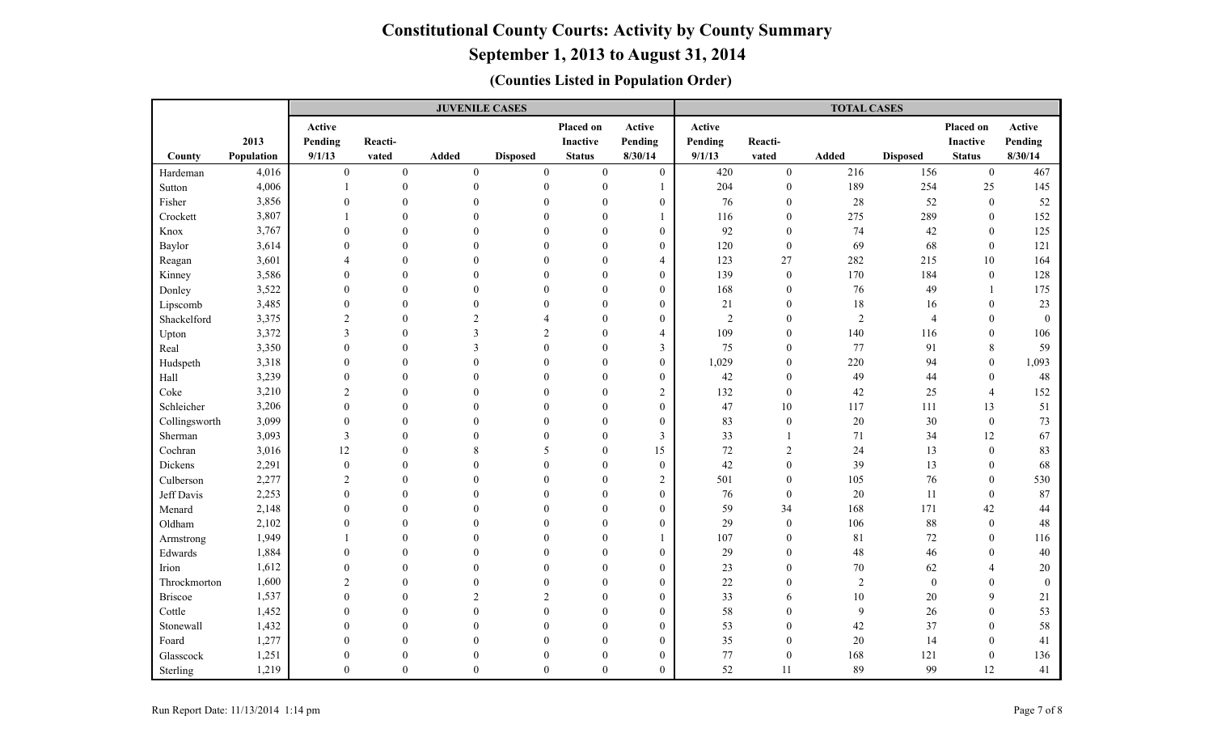|               |            |                         |                  | <b>JUVENILE CASES</b> |                  |                  |                  | <b>TOTAL CASES</b> |                  |                |                 |                  |              |  |
|---------------|------------|-------------------------|------------------|-----------------------|------------------|------------------|------------------|--------------------|------------------|----------------|-----------------|------------------|--------------|--|
|               |            | Active                  |                  |                       |                  | Placed on        | Active           | Active             |                  |                |                 | Placed on        | Active       |  |
|               | 2013       | Pending                 | Reacti-          |                       |                  | <b>Inactive</b>  | Pending          | Pending            | Reacti-          |                |                 | <b>Inactive</b>  | Pending      |  |
| County        | Population | 9/1/13                  | vated            | Added                 | <b>Disposed</b>  | <b>Status</b>    | 8/30/14          | 9/1/13             | vated            | Added          | <b>Disposed</b> | <b>Status</b>    | 8/30/14      |  |
| Hardeman      | 4,016      | $\boldsymbol{0}$        | $\boldsymbol{0}$ | $\boldsymbol{0}$      | $\boldsymbol{0}$ | $\boldsymbol{0}$ | $\boldsymbol{0}$ | 420                | $\boldsymbol{0}$ | 216            | 156             | $\boldsymbol{0}$ | 467          |  |
| Sutton        | 4,006      |                         | $\boldsymbol{0}$ | $\mathbf{0}$          | $\boldsymbol{0}$ | $\mathbf{0}$     |                  | 204                | $\boldsymbol{0}$ | 189            | 254             | 25               | 145          |  |
| Fisher        | 3,856      | $\Omega$                | $\theta$         | $\theta$              | $\overline{0}$   | $\theta$         | $\theta$         | 76                 | $\mathbf{0}$     | $28\,$         | 52              | $\mathbf{0}$     | 52           |  |
| Crockett      | 3,807      |                         | $\theta$         | $\Omega$              | $\theta$         | $\mathbf{0}$     |                  | 116                | $\mathbf{0}$     | 275            | 289             | $\mathbf{0}$     | 152          |  |
| Knox          | 3,767      | $\theta$                | $\theta$         | $\theta$              | $\overline{0}$   | $\mathbf{0}$     | $\boldsymbol{0}$ | 92                 | $\boldsymbol{0}$ | 74             | $42\,$          | $\mathbf{0}$     | 125          |  |
| Baylor        | 3,614      | $\theta$                | $\Omega$         | $\Omega$              | $\Omega$         | $\theta$         | $\overline{0}$   | 120                | $\boldsymbol{0}$ | 69             | 68              | $\mathbf{0}$     | 121          |  |
| Reagan        | 3,601      | $\Delta$                | $\theta$         | $\Omega$              | 0                | $\boldsymbol{0}$ | $\overline{4}$   | 123                | 27               | 282            | 215             | 10               | 164          |  |
| Kinney        | 3,586      | $\theta$                | $\Omega$         | $\Omega$              | $\theta$         | $\theta$         | $\overline{0}$   | 139                | $\boldsymbol{0}$ | 170            | 184             | $\mathbf{0}$     | 128          |  |
| Donley        | 3,522      | $\boldsymbol{0}$        | $\Omega$         | $\Omega$              | $\overline{0}$   | $\mathbf{0}$     | $\mathbf{0}$     | 168                | $\boldsymbol{0}$ | 76             | 49              |                  | 175          |  |
| Lipscomb      | 3,485      | $\overline{0}$          | $\Omega$         | $\Omega$              | $\Omega$         | $\theta$         | $\boldsymbol{0}$ | 21                 | $\mathbf{0}$     | 18             | 16              | $\theta$         | 23           |  |
| Shackelford   | 3,375      | $\overline{2}$          | $\theta$         | $\overline{2}$        | $\Delta$         | $\theta$         | $\theta$         | $\overline{2}$     | $\theta$         | $\overline{2}$ | $\overline{4}$  | $\theta$         | $\mathbf{0}$ |  |
| Upton         | 3,372      | $\overline{\mathbf{3}}$ | $\theta$         | 3                     | $\overline{c}$   | $\overline{0}$   | $\overline{4}$   | 109                | $\boldsymbol{0}$ | 140            | 116             | $\mathbf{0}$     | 106          |  |
| Real          | 3,350      | $\overline{0}$          | $\mathbf{0}$     | 3                     | $\overline{0}$   | $\overline{0}$   | $\mathfrak{Z}$   | 75                 | $\boldsymbol{0}$ | 77             | 91              | 8                | 59           |  |
| Hudspeth      | 3,318      | $\theta$                | $\Omega$         | $\theta$              | $\Omega$         | $\theta$         | $\boldsymbol{0}$ | 1,029              | $\boldsymbol{0}$ | 220            | 94              | $\boldsymbol{0}$ | 1,093        |  |
| Hall          | 3,239      | $\boldsymbol{0}$        | $\theta$         | $\theta$              | 0                | $\mathbf{0}$     | $\overline{0}$   | 42                 | $\mathbf{0}$     | 49             | 44              | $\boldsymbol{0}$ | 48           |  |
| Coke          | 3,210      | $\overline{2}$          | $\Omega$         | $\Omega$              | $\theta$         | $\theta$         | $\sqrt{2}$       | 132                | $\boldsymbol{0}$ | 42             | 25              | $\overline{4}$   | 152          |  |
| Schleicher    | 3,206      | $\boldsymbol{0}$        | $\Omega$         | $\Omega$              | $\overline{0}$   | $\mathbf{0}$     | $\boldsymbol{0}$ | 47                 | 10               | 117            | 111             | 13               | 51           |  |
| Collingsworth | 3,099      | $\overline{0}$          | $\theta$         | $\Omega$              | $\Omega$         | $\theta$         | $\mathbf{0}$     | 83                 | $\mathbf{0}$     | $20\,$         | 30              | $\boldsymbol{0}$ | 73           |  |
| Sherman       | 3,093      | $\overline{3}$          | $\Omega$         | $\Omega$              | $\theta$         | $\theta$         | 3                | 33                 | $\mathbf{1}$     | 71             | 34              | 12               | 67           |  |
| Cochran       | 3,016      | 12                      | $\theta$         | 8                     | 5                | $\theta$         | 15               | 72                 | $\sqrt{2}$       | 24             | 13              | $\theta$         | 83           |  |
| Dickens       | 2,291      | $\boldsymbol{0}$        | $\mathbf{0}$     | $\Omega$              | $\mathbf{0}$     | $\mathbf{0}$     | $\boldsymbol{0}$ | 42                 | $\mathbf{0}$     | 39             | 13              | $\mathbf{0}$     | 68           |  |
| Culberson     | 2,277      | $\overline{2}$          | $\Omega$         | $\Omega$              | $\Omega$         | $\theta$         | $\overline{c}$   | 501                | $\boldsymbol{0}$ | 105            | $76\,$          | $\boldsymbol{0}$ | 530          |  |
| Jeff Davis    | 2,253      | $\boldsymbol{0}$        | $\theta$         | $\Omega$              | $\mathbf{0}$     | $\mathbf{0}$     | $\overline{0}$   | 76                 | $\boldsymbol{0}$ | $20\,$         | 11              | $\boldsymbol{0}$ | 87           |  |
| Menard        | 2,148      | $\theta$                | $\Omega$         | $\Omega$              | $\theta$         | $\theta$         | $\overline{0}$   | 59                 | 34               | 168            | 171             | 42               | 44           |  |
| Oldham        | 2,102      | $\overline{0}$          | $\Omega$         | $\Omega$              | $\overline{0}$   | $\mathbf{0}$     | $\boldsymbol{0}$ | 29                 | $\boldsymbol{0}$ | 106            | $88\,$          | $\boldsymbol{0}$ | $48\,$       |  |
| Armstrong     | 1,949      |                         | $\Omega$         | $\Omega$              | $\Omega$         | $\theta$         |                  | 107                | $\mathbf{0}$     | 81             | $72\,$          | $\theta$         | 116          |  |
| Edwards       | 1,884      | $\theta$                | $\Omega$         | $\Omega$              | $\Omega$         | $\theta$         | $\overline{0}$   | 29                 | $\theta$         | $48\,$         | $46\,$          | $\Omega$         | 40           |  |
| Irion         | 1,612      | $\boldsymbol{0}$        | $\theta$         | $\Omega$              | $\theta$         | $\theta$         | $\boldsymbol{0}$ | 23                 | $\mathbf{0}$     | $70\,$         | 62              | $\overline{4}$   | $20\,$       |  |
| Throckmorton  | 1,600      | $\overline{2}$          | $\theta$         | $\theta$              | $\overline{0}$   | $\mathbf{0}$     | $\overline{0}$   | 22                 | $\mathbf{0}$     | $\sqrt{2}$     | $\mathbf{0}$    | $\theta$         | $\mathbf{0}$ |  |
| Briscoe       | 1,537      | $\boldsymbol{0}$        | $\theta$         | $\overline{2}$        | 2                | $\theta$         | $\boldsymbol{0}$ | 33                 | 6                | $10\,$         | $20\,$          | 9                | $21\,$       |  |
| Cottle        | 1,452      | $\boldsymbol{0}$        | $\theta$         | $\theta$              | $\boldsymbol{0}$ | $\boldsymbol{0}$ | $\overline{0}$   | 58                 | $\mathbf{0}$     | $\mathbf{9}$   | 26              | $\boldsymbol{0}$ | 53           |  |
| Stonewall     | 1,432      | $\theta$                | $\Omega$         | $\Omega$              | $\theta$         | $\theta$         | $\overline{0}$   | 53                 | $\theta$         | $42\,$         | 37              | $\theta$         | 58           |  |
| Foard         | 1,277      | $\Omega$                | $\Omega$         | $\theta$              | $\overline{0}$   | $\mathbf{0}$     | $\mathbf{0}$     | 35                 | $\mathbf{0}$     | $20\,$         | 14              | $\boldsymbol{0}$ | 41           |  |
| Glasscock     | 1,251      | $\theta$                | $\theta$         | $\theta$              | $\overline{0}$   | $\mathbf{0}$     | $\boldsymbol{0}$ | 77                 | $\boldsymbol{0}$ | 168            | 121             | $\boldsymbol{0}$ | 136          |  |
| Sterling      | 1,219      | $\theta$                | $\theta$         | $\theta$              | $\theta$         | $\theta$         | $\overline{0}$   | 52                 | 11               | 89             | 99              | 12               | 41           |  |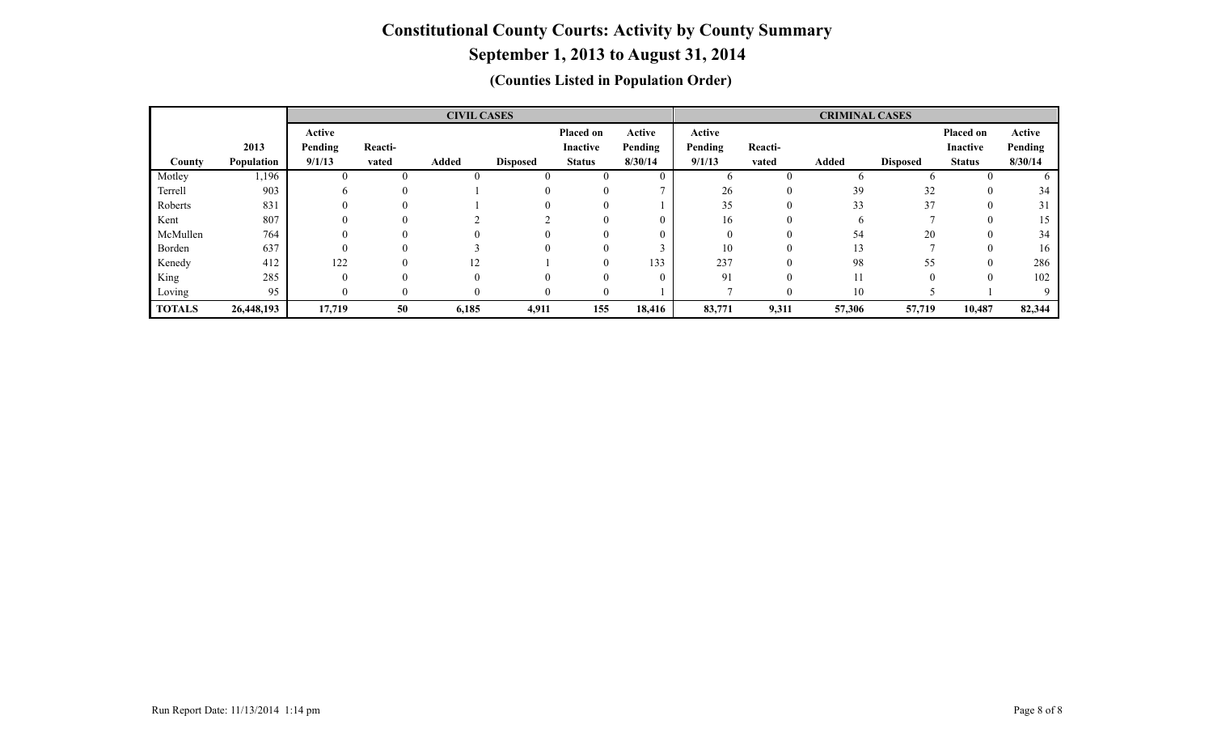# **September 1, 2013 to August 31, 2014**

|               |            | <b>CIVIL CASES</b> |                |              |                 |                 |                |          | <b>CRIMINAL CASES</b> |              |                 |                 |         |  |
|---------------|------------|--------------------|----------------|--------------|-----------------|-----------------|----------------|----------|-----------------------|--------------|-----------------|-----------------|---------|--|
|               |            | Active             |                |              |                 | Placed on       | Active         | Active   |                       |              |                 | Placed on       | Active  |  |
|               | 2013       | Pending            | Reacti-        |              |                 | <b>Inactive</b> | Pending        | Pending  | Reacti-               |              |                 | <b>Inactive</b> | Pending |  |
| County        | Population | 9/1/13             | vated          | <b>Added</b> | <b>Disposed</b> | <b>Status</b>   | 8/30/14        | 9/1/13   | vated                 | <b>Added</b> | <b>Disposed</b> | <b>Status</b>   | 8/30/14 |  |
| Motley        | l, 196     |                    | $\Omega$       |              |                 |                 | $\overline{0}$ | h.       | $\theta$              | <sub>0</sub> |                 |                 |         |  |
| Terrell       | 903        | o                  | $\Omega$       |              |                 | $\Omega$        |                | 26       | $\mathbf{0}$          | 39           | 32              |                 | 34      |  |
| Roberts       | 831        |                    |                |              |                 |                 |                | 35       | $\Omega$              | 33           | 37              |                 |         |  |
| Kent          | 807        |                    | $\Omega$       |              |                 |                 | $\theta$       | 16       | $\theta$              | <sub>0</sub> |                 |                 | 15      |  |
| McMullen      | 764        |                    |                |              |                 |                 | 0              | $\Omega$ | $\Omega$              | 54           | 20              |                 | 34      |  |
| Borden        | 637        |                    | $\Omega$       |              |                 | 0               |                | 10       | $\theta$              | 13           |                 |                 | 16      |  |
| Kenedy        | 412        | 122                | $\Omega$       | 12           |                 |                 | 133            | 237      | $\theta$              | 98           | 55              |                 | 286     |  |
| King          | 285        |                    | $\Omega$       | $\Omega$     |                 |                 | $\theta$       | 91       | $\Omega$              | 11           |                 |                 | 102     |  |
| Loving        | 95         |                    | $\overline{0}$ | $\theta$     |                 | $\theta$        |                |          | $\theta$              | 10           |                 |                 | 9       |  |
| <b>TOTALS</b> | 26,448,193 | 17,719             | 50             | 6,185        | 4,911           | 155             | 18,416         | 83,771   | 9,311                 | 57,306       | 57,719          | 10,487          | 82,344  |  |